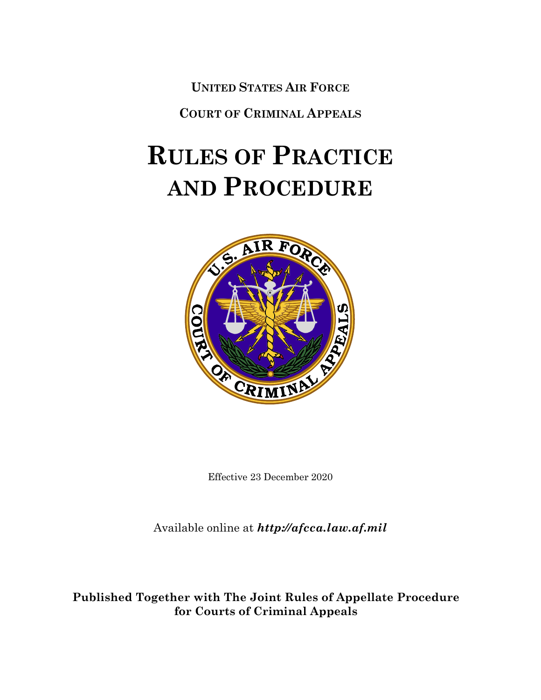**UNITED STATES AIR FORCE**

**COURT OF CRIMINAL APPEALS**

# **RULES OF PRACTICE AND PROCEDURE**



Effective 23 December 2020

Available online at *[http://afcca.law.af.mil](http://afcca.law.af.mil/)*

**Published Together with The Joint Rules of Appellate Procedure for Courts of Criminal Appeals**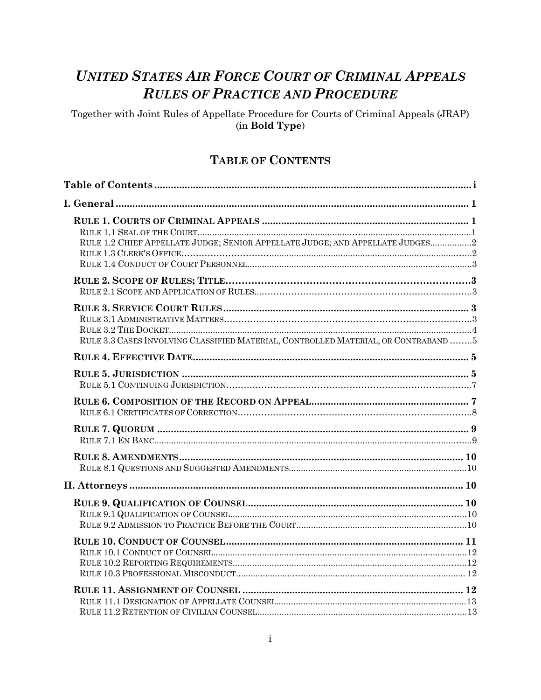# **UNITED STATES AIR FORCE COURT OF CRIMINAL APPEALS RULES OF PRACTICE AND PROCEDURE**

Together with Joint Rules of Appellate Procedure for Courts of Criminal Appeals (JRAP) (in Bold Type)

# **TABLE OF CONTENTS**

<span id="page-1-0"></span>

| RULE 1.2 CHIEF APPELLATE JUDGE; SENIOR APPELLATE JUDGE; AND APPELLATE JUDGES2      |  |
|------------------------------------------------------------------------------------|--|
|                                                                                    |  |
| RULE 3.3 CASES INVOLVING CLASSIFIED MATERIAL, CONTROLLED MATERIAL, OR CONTRABAND 5 |  |
|                                                                                    |  |
|                                                                                    |  |
|                                                                                    |  |
|                                                                                    |  |
|                                                                                    |  |
|                                                                                    |  |
|                                                                                    |  |
|                                                                                    |  |
|                                                                                    |  |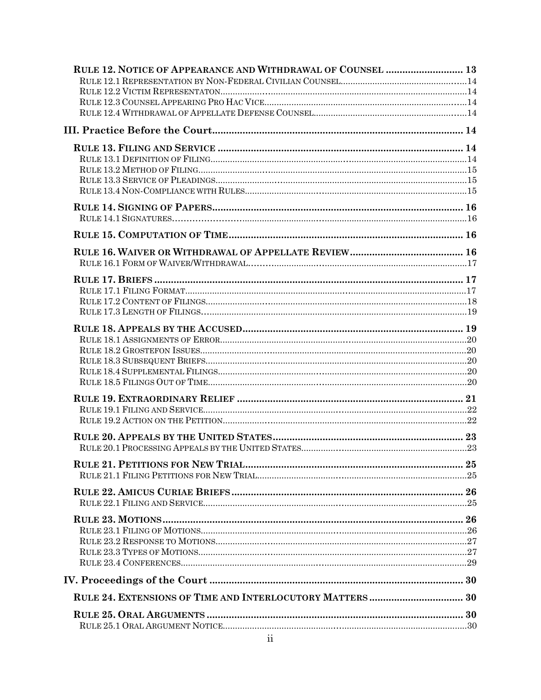| RULE 12. NOTICE OF APPEARANCE AND WITHDRAWAL OF COUNSEL  13 |  |
|-------------------------------------------------------------|--|
|                                                             |  |
|                                                             |  |
|                                                             |  |
|                                                             |  |
|                                                             |  |
|                                                             |  |
|                                                             |  |
|                                                             |  |
|                                                             |  |
|                                                             |  |
|                                                             |  |
|                                                             |  |
|                                                             |  |
|                                                             |  |
|                                                             |  |
|                                                             |  |
|                                                             |  |
|                                                             |  |
|                                                             |  |
|                                                             |  |
|                                                             |  |
|                                                             |  |
|                                                             |  |
|                                                             |  |
|                                                             |  |
|                                                             |  |
|                                                             |  |
|                                                             |  |
|                                                             |  |
|                                                             |  |
|                                                             |  |
|                                                             |  |
|                                                             |  |
|                                                             |  |
|                                                             |  |
|                                                             |  |
|                                                             |  |
|                                                             |  |
|                                                             |  |
|                                                             |  |
|                                                             |  |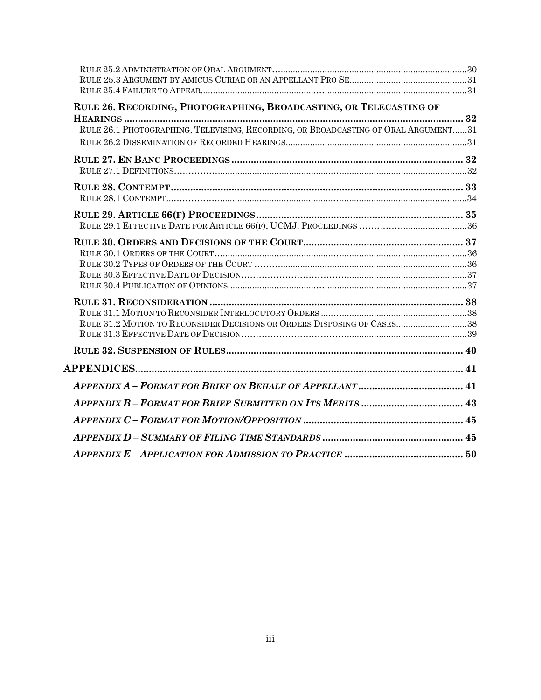| RULE 26. RECORDING, PHOTOGRAPHING, BROADCASTING, OR TELECASTING OF                 |  |
|------------------------------------------------------------------------------------|--|
| RULE 26.1 PHOTOGRAPHING, TELEVISING, RECORDING, OR BROADCASTING OF ORAL ARGUMENT31 |  |
|                                                                                    |  |
|                                                                                    |  |
|                                                                                    |  |
|                                                                                    |  |
|                                                                                    |  |
|                                                                                    |  |
|                                                                                    |  |
|                                                                                    |  |
|                                                                                    |  |
|                                                                                    |  |
|                                                                                    |  |
|                                                                                    |  |
|                                                                                    |  |
| RULE 31.2 MOTION TO RECONSIDER DECISIONS OR ORDERS DISPOSING OF CASES38            |  |
|                                                                                    |  |
|                                                                                    |  |
|                                                                                    |  |
|                                                                                    |  |
|                                                                                    |  |
|                                                                                    |  |
|                                                                                    |  |
|                                                                                    |  |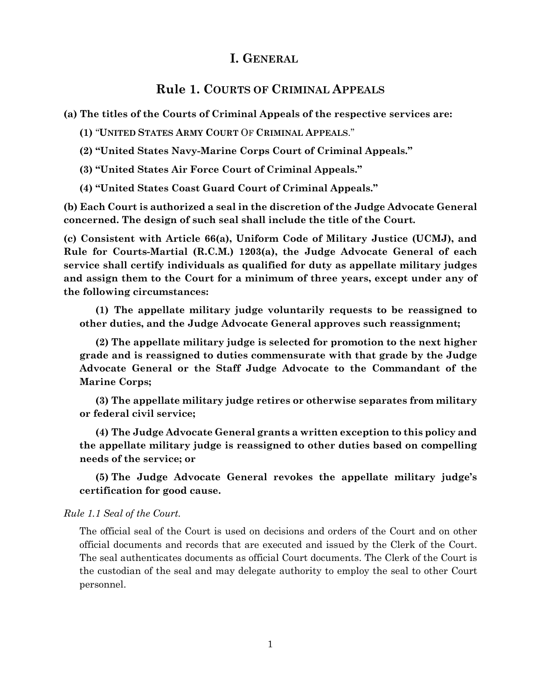# **I. GENERAL**

# **Rule 1. COURTS OF CRIMINAL APPEALS**

<span id="page-4-1"></span><span id="page-4-0"></span>**(a) The titles of the Courts of Criminal Appeals of the respective services are:**

**(1)** "**UNITED STATES ARMY COURT** OF **CRIMINAL APPEALS**."

**(2) "United States Navy-Marine Corps Court of Criminal Appeals."**

**(3) "United States Air Force Court of Criminal Appeals."**

**(4) "United States Coast Guard Court of Criminal Appeals."**

**(b) Each Court is authorized a seal in the discretion of the Judge Advocate General concerned. The design of such seal shall include the title of the Court.**

**(c) Consistent with Article 66(a), Uniform Code of Military Justice (UCMJ), and Rule for Courts-Martial (R.C.M.) 1203(a), the Judge Advocate General of each service shall certify individuals as qualified for duty as appellate military judges and assign them to the Court for a minimum of three years, except under any of the following circumstances:**

**(1) The appellate military judge voluntarily requests to be reassigned to other duties, and the Judge Advocate General approves such reassignment;**

**(2) The appellate military judge is selected for promotion to the next higher grade and is reassigned to duties commensurate with that grade by the Judge Advocate General or the Staff Judge Advocate to the Commandant of the Marine Corps;**

**(3) The appellate military judge retires or otherwise separates from military or federal civil service;**

**(4) The Judge Advocate General grants a written exception to this policy and the appellate military judge is reassigned to other duties based on compelling needs of the service; or**

**(5) The Judge Advocate General revokes the appellate military judge's certification for good cause.** 

#### *Rule 1.1 Seal of the Court.*

The official seal of the Court is used on decisions and orders of the Court and on other official documents and records that are executed and issued by the Clerk of the Court. The seal authenticates documents as official Court documents. The Clerk of the Court is the custodian of the seal and may delegate authority to employ the seal to other Court personnel.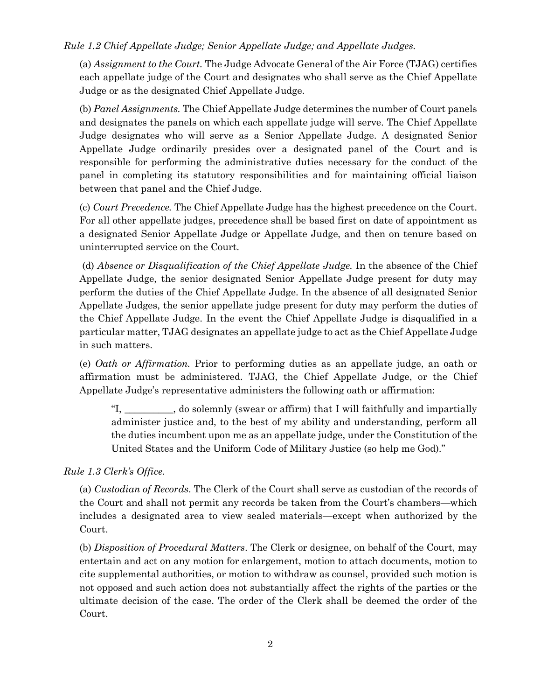#### *Rule 1.2 Chief Appellate Judge; Senior Appellate Judge; and Appellate Judges.*

(a) *Assignment to the Court.* The Judge Advocate General of the Air Force (TJAG) certifies each appellate judge of the Court and designates who shall serve as the Chief Appellate Judge or as the designated Chief Appellate Judge.

(b) *Panel Assignments.* The Chief Appellate Judge determines the number of Court panels and designates the panels on which each appellate judge will serve. The Chief Appellate Judge designates who will serve as a Senior Appellate Judge. A designated Senior Appellate Judge ordinarily presides over a designated panel of the Court and is responsible for performing the administrative duties necessary for the conduct of the panel in completing its statutory responsibilities and for maintaining official liaison between that panel and the Chief Judge.

(c) *Court Precedence.* The Chief Appellate Judge has the highest precedence on the Court. For all other appellate judges, precedence shall be based first on date of appointment as a designated Senior Appellate Judge or Appellate Judge, and then on tenure based on uninterrupted service on the Court.

(d) *Absence or Disqualification of the Chief Appellate Judge.* In the absence of the Chief Appellate Judge, the senior designated Senior Appellate Judge present for duty may perform the duties of the Chief Appellate Judge. In the absence of all designated Senior Appellate Judges, the senior appellate judge present for duty may perform the duties of the Chief Appellate Judge. In the event the Chief Appellate Judge is disqualified in a particular matter, TJAG designates an appellate judge to act as the Chief Appellate Judge in such matters.

(e) *Oath or Affirmation.* Prior to performing duties as an appellate judge, an oath or affirmation must be administered. TJAG, the Chief Appellate Judge, or the Chief Appellate Judge's representative administers the following oath or affirmation:

"I, \_\_\_\_\_\_\_\_\_\_, do solemnly (swear or affirm) that I will faithfully and impartially administer justice and, to the best of my ability and understanding, perform all the duties incumbent upon me as an appellate judge, under the Constitution of the United States and the Uniform Code of Military Justice (so help me God)."

*Rule 1.3 Clerk's Office.*

(a) *Custodian of Records*. The Clerk of the Court shall serve as custodian of the records of the Court and shall not permit any records be taken from the Court's chambers—which includes a designated area to view sealed materials—except when authorized by the Court.

(b) *Disposition of Procedural Matters*. The Clerk or designee, on behalf of the Court, may entertain and act on any motion for enlargement, motion to attach documents, motion to cite supplemental authorities, or motion to withdraw as counsel, provided such motion is not opposed and such action does not substantially affect the rights of the parties or the ultimate decision of the case. The order of the Clerk shall be deemed the order of the Court.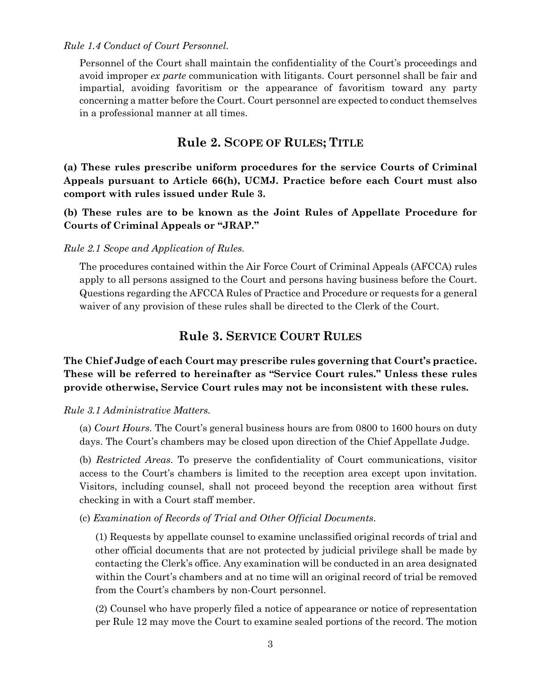*Rule 1.4 Conduct of Court Personnel.* 

Personnel of the Court shall maintain the confidentiality of the Court's proceedings and avoid improper *ex parte* communication with litigants. Court personnel shall be fair and impartial, avoiding favoritism or the appearance of favoritism toward any party concerning a matter before the Court. Court personnel are expected to conduct themselves in a professional manner at all times.

# **Rule 2. SCOPE OF RULES; TITLE**

<span id="page-6-0"></span>**(a) These rules prescribe uniform procedures for the service Courts of Criminal Appeals pursuant to Article 66(h), UCMJ. Practice before each Court must also comport with rules issued under Rule 3.**

**(b) These rules are to be known as the Joint Rules of Appellate Procedure for Courts of Criminal Appeals or "JRAP."**

#### *Rule 2.1 Scope and Application of Rules.*

The procedures contained within the Air Force Court of Criminal Appeals (AFCCA) rules apply to all persons assigned to the Court and persons having business before the Court. Questions regarding the AFCCA Rules of Practice and Procedure or requests for a general waiver of any provision of these rules shall be directed to the Clerk of the Court.

# **Rule 3. SERVICE COURT RULES**

### <span id="page-6-1"></span>**The Chief Judge of each Court may prescribe rules governing that Court's practice. These will be referred to hereinafter as "Service Court rules." Unless these rules provide otherwise, Service Court rules may not be inconsistent with these rules.**

*Rule 3.1 Administrative Matters.* 

(a) *Court Hours.* The Court's general business hours are from 0800 to 1600 hours on duty days. The Court's chambers may be closed upon direction of the Chief Appellate Judge.

(b) *Restricted Areas*. To preserve the confidentiality of Court communications, visitor access to the Court's chambers is limited to the reception area except upon invitation. Visitors, including counsel, shall not proceed beyond the reception area without first checking in with a Court staff member.

(c) *Examination of Records of Trial and Other Official Documents*.

(1) Requests by appellate counsel to examine unclassified original records of trial and other official documents that are not protected by judicial privilege shall be made by contacting the Clerk's office. Any examination will be conducted in an area designated within the Court's chambers and at no time will an original record of trial be removed from the Court's chambers by non-Court personnel.

(2) Counsel who have properly filed a notice of appearance or notice of representation per Rule 12 may move the Court to examine sealed portions of the record. The motion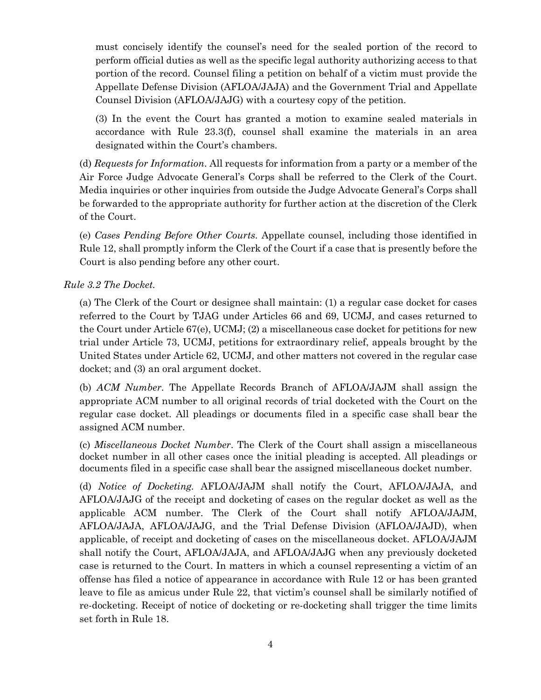must concisely identify the counsel's need for the sealed portion of the record to perform official duties as well as the specific legal authority authorizing access to that portion of the record. Counsel filing a petition on behalf of a victim must provide the Appellate Defense Division (AFLOA/JAJA) and the Government Trial and Appellate Counsel Division (AFLOA/JAJG) with a courtesy copy of the petition.

(3) In the event the Court has granted a motion to examine sealed materials in accordance with Rule 23.3(f), counsel shall examine the materials in an area designated within the Court's chambers.

(d) *Requests for Information*. All requests for information from a party or a member of the Air Force Judge Advocate General's Corps shall be referred to the Clerk of the Court. Media inquiries or other inquiries from outside the Judge Advocate General's Corps shall be forwarded to the appropriate authority for further action at the discretion of the Clerk of the Court.

(e) *Cases Pending Before Other Courts*. Appellate counsel, including those identified in Rule 12, shall promptly inform the Clerk of the Court if a case that is presently before the Court is also pending before any other court.

*Rule 3.2 The Docket.* 

(a) The Clerk of the Court or designee shall maintain: (1) a regular case docket for cases referred to the Court by TJAG under Articles 66 and 69, UCMJ, and cases returned to the Court under Article 67(e), UCMJ; (2) a miscellaneous case docket for petitions for new trial under Article 73, UCMJ, petitions for extraordinary relief, appeals brought by the United States under Article 62, UCMJ, and other matters not covered in the regular case docket; and (3) an oral argument docket.

(b) *ACM Number*. The Appellate Records Branch of AFLOA/JAJM shall assign the appropriate ACM number to all original records of trial docketed with the Court on the regular case docket. All pleadings or documents filed in a specific case shall bear the assigned ACM number.

(c) *Miscellaneous Docket Number*. The Clerk of the Court shall assign a miscellaneous docket number in all other cases once the initial pleading is accepted. All pleadings or documents filed in a specific case shall bear the assigned miscellaneous docket number.

(d) *Notice of Docketing.* AFLOA/JAJM shall notify the Court, AFLOA/JAJA, and AFLOA/JAJG of the receipt and docketing of cases on the regular docket as well as the applicable ACM number. The Clerk of the Court shall notify AFLOA/JAJM, AFLOA/JAJA, AFLOA/JAJG, and the Trial Defense Division (AFLOA/JAJD), when applicable, of receipt and docketing of cases on the miscellaneous docket. AFLOA/JAJM shall notify the Court, AFLOA/JAJA, and AFLOA/JAJG when any previously docketed case is returned to the Court. In matters in which a counsel representing a victim of an offense has filed a notice of appearance in accordance with Rule 12 or has been granted leave to file as amicus under Rule 22, that victim's counsel shall be similarly notified of re-docketing. Receipt of notice of docketing or re-docketing shall trigger the time limits set forth in Rule 18.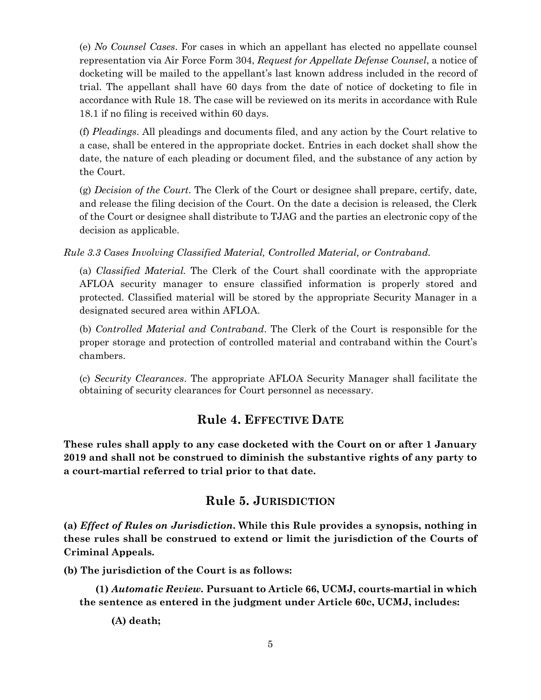(e) *No Counsel Cases*. For cases in which an appellant has elected no appellate counsel representation via Air Force Form 304, *Request for Appellate Defense Counsel*, a notice of docketing will be mailed to the appellant's last known address included in the record of trial. The appellant shall have 60 days from the date of notice of docketing to file in accordance with Rule 18. The case will be reviewed on its merits in accordance with Rule 18.1 if no filing is received within 60 days.

(f) *Pleadings*. All pleadings and documents filed, and any action by the Court relative to a case, shall be entered in the appropriate docket. Entries in each docket shall show the date, the nature of each pleading or document filed, and the substance of any action by the Court.

(g) *Decision of the Court*. The Clerk of the Court or designee shall prepare, certify, date, and release the filing decision of the Court. On the date a decision is released, the Clerk of the Court or designee shall distribute to TJAG and the parties an electronic copy of the decision as applicable.

*Rule 3.3 Cases Involving Classified Material, Controlled Material, or Contraband.* 

(a) *Classified Material.* The Clerk of the Court shall coordinate with the appropriate AFLOA security manager to ensure classified information is properly stored and protected. Classified material will be stored by the appropriate Security Manager in a designated secured area within AFLOA.

(b) *Controlled Material and Contraband*. The Clerk of the Court is responsible for the proper storage and protection of controlled material and contraband within the Court's chambers.

(c) *Security Clearances*. The appropriate AFLOA Security Manager shall facilitate the obtaining of security clearances for Court personnel as necessary.

# **Rule 4. EFFECTIVE DATE**

<span id="page-8-0"></span>**These rules shall apply to any case docketed with the Court on or after 1 January 2019 and shall not be construed to diminish the substantive rights of any party to a court-martial referred to trial prior to that date.** 

# **Rule 5. JURISDICTION**

<span id="page-8-1"></span>**(a)** *Effect of Rules on Jurisdiction***. While this Rule provides a synopsis, nothing in these rules shall be construed to extend or limit the jurisdiction of the Courts of Criminal Appeals.**

**(b) The jurisdiction of the Court is as follows:**

**(1)** *Automatic Review.* **Pursuant to Article 66, UCMJ, courts-martial in which the sentence as entered in the judgment under Article 60c, UCMJ, includes:**

**(A) death;**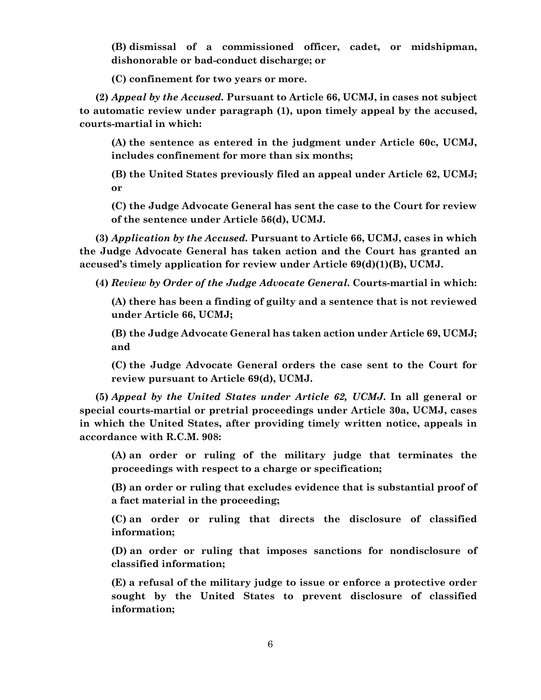**(B) dismissal of a commissioned officer, cadet, or midshipman, dishonorable or bad-conduct discharge; or** 

**(C) confinement for two years or more.**

**(2)** *Appeal by the Accused.* **Pursuant to Article 66, UCMJ, in cases not subject to automatic review under paragraph (1), upon timely appeal by the accused, courts-martial in which:**

**(A) the sentence as entered in the judgment under Article 60c, UCMJ, includes confinement for more than six months;**

**(B) the United States previously filed an appeal under Article 62, UCMJ; or**

**(C) the Judge Advocate General has sent the case to the Court for review of the sentence under Article 56(d), UCMJ.**

**(3)** *Application by the Accused.* **Pursuant to Article 66, UCMJ, cases in which the Judge Advocate General has taken action and the Court has granted an accused's timely application for review under Article 69(d)(1)(B), UCMJ.**

**(4)** *Review by Order of the Judge Advocate General***. Courts-martial in which:**

**(A) there has been a finding of guilty and a sentence that is not reviewed under Article 66, UCMJ;** 

**(B) the Judge Advocate General has taken action under Article 69, UCMJ; and**

**(C) the Judge Advocate General orders the case sent to the Court for review pursuant to Article 69(d), UCMJ.** 

**(5)** *Appeal by the United States under Article 62, UCMJ***. In all general or special courts-martial or pretrial proceedings under Article 30a, UCMJ, cases in which the United States, after providing timely written notice, appeals in accordance with R.C.M. 908:**

**(A) an order or ruling of the military judge that terminates the proceedings with respect to a charge or specification;** 

**(B) an order or ruling that excludes evidence that is substantial proof of a fact material in the proceeding;**

**(C) an order or ruling that directs the disclosure of classified information;** 

**(D) an order or ruling that imposes sanctions for nondisclosure of classified information;**

**(E) a refusal of the military judge to issue or enforce a protective order sought by the United States to prevent disclosure of classified information;**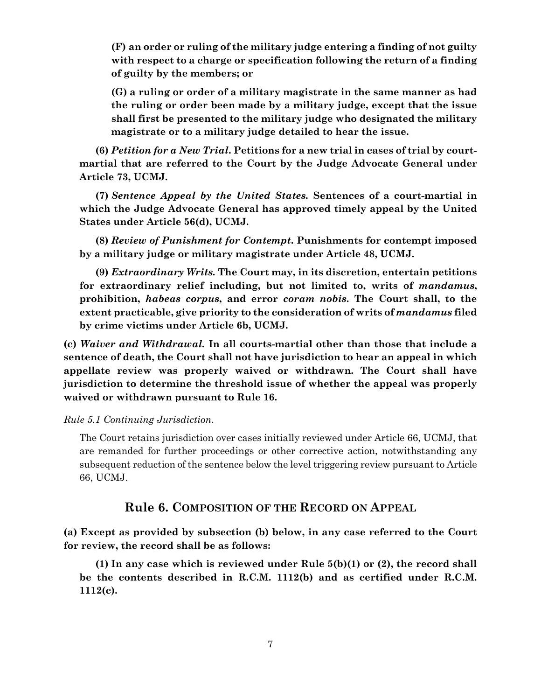**(F) an order or ruling of the military judge entering a finding of not guilty with respect to a charge or specification following the return of a finding of guilty by the members; or**

**(G) a ruling or order of a military magistrate in the same manner as had the ruling or order been made by a military judge, except that the issue shall first be presented to the military judge who designated the military magistrate or to a military judge detailed to hear the issue.**

**(6)** *Petition for a New Trial***. Petitions for a new trial in cases of trial by courtmartial that are referred to the Court by the Judge Advocate General under Article 73, UCMJ.**

**(7)** *Sentence Appeal by the United States.* **Sentences of a court-martial in which the Judge Advocate General has approved timely appeal by the United States under Article 56(d), UCMJ.**

**(8)** *Review of Punishment for Contempt***. Punishments for contempt imposed by a military judge or military magistrate under Article 48, UCMJ.** 

**(9)** *Extraordinary Writs.* **The Court may, in its discretion, entertain petitions for extraordinary relief including, but not limited to, writs of** *mandamus***, prohibition,** *habeas corpus***, and error** *coram nobis***. The Court shall, to the extent practicable, give priority to the consideration of writs of** *mandamus* **filed by crime victims under Article 6b, UCMJ.**

**(c)** *Waiver and Withdrawal.* **In all courts-martial other than those that include a sentence of death, the Court shall not have jurisdiction to hear an appeal in which appellate review was properly waived or withdrawn. The Court shall have jurisdiction to determine the threshold issue of whether the appeal was properly waived or withdrawn pursuant to Rule 16.** 

#### *Rule 5.1 Continuing Jurisdiction.*

The Court retains jurisdiction over cases initially reviewed under Article 66, UCMJ, that are remanded for further proceedings or other corrective action, notwithstanding any subsequent reduction of the sentence below the level triggering review pursuant to Article 66, UCMJ.

# **Rule 6. COMPOSITION OF THE RECORD ON APPEAL**

<span id="page-10-0"></span>**(a) Except as provided by subsection (b) below, in any case referred to the Court for review, the record shall be as follows:**

**(1) In any case which is reviewed under Rule 5(b)(1) or (2), the record shall be the contents described in R.C.M. 1112(b) and as certified under R.C.M. 1112(c).**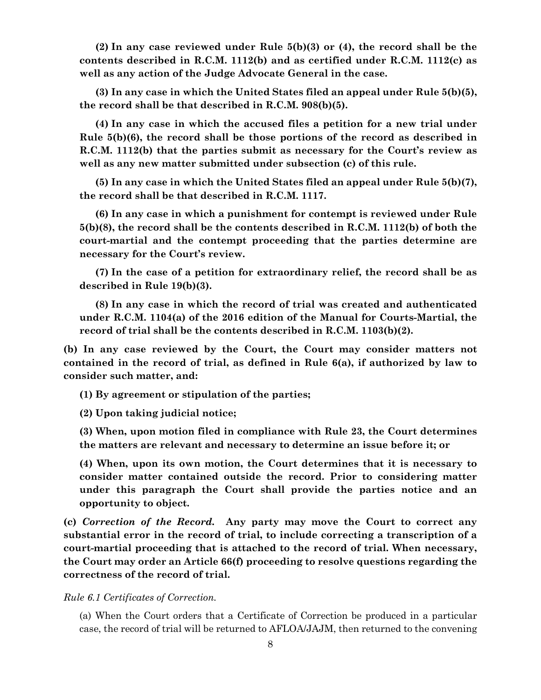**(2) In any case reviewed under Rule 5(b)(3) or (4), the record shall be the contents described in R.C.M. 1112(b) and as certified under R.C.M. 1112(c) as well as any action of the Judge Advocate General in the case.**

**(3) In any case in which the United States filed an appeal under Rule 5(b)(5), the record shall be that described in R.C.M. 908(b)(5).** 

**(4) In any case in which the accused files a petition for a new trial under Rule 5(b)(6), the record shall be those portions of the record as described in R.C.M. 1112(b) that the parties submit as necessary for the Court's review as well as any new matter submitted under subsection (c) of this rule.** 

**(5) In any case in which the United States filed an appeal under Rule 5(b)(7), the record shall be that described in R.C.M. 1117.** 

**(6) In any case in which a punishment for contempt is reviewed under Rule 5(b)(8), the record shall be the contents described in R.C.M. 1112(b) of both the court-martial and the contempt proceeding that the parties determine are necessary for the Court's review.**

**(7) In the case of a petition for extraordinary relief, the record shall be as described in Rule 19(b)(3).** 

**(8) In any case in which the record of trial was created and authenticated under R.C.M. 1104(a) of the 2016 edition of the Manual for Courts-Martial, the record of trial shall be the contents described in R.C.M. 1103(b)(2).** 

**(b) In any case reviewed by the Court, the Court may consider matters not contained in the record of trial, as defined in Rule 6(a), if authorized by law to consider such matter, and:**

**(1) By agreement or stipulation of the parties;**

**(2) Upon taking judicial notice;** 

**(3) When, upon motion filed in compliance with Rule 23, the Court determines the matters are relevant and necessary to determine an issue before it; or**

**(4) When, upon its own motion, the Court determines that it is necessary to consider matter contained outside the record. Prior to considering matter under this paragraph the Court shall provide the parties notice and an opportunity to object.** 

**(c)** *Correction of the Record.* **Any party may move the Court to correct any substantial error in the record of trial, to include correcting a transcription of a court-martial proceeding that is attached to the record of trial. When necessary, the Court may order an Article 66(f) proceeding to resolve questions regarding the correctness of the record of trial.**

*Rule 6.1 Certificates of Correction.*

(a) When the Court orders that a Certificate of Correction be produced in a particular case, the record of trial will be returned to AFLOA/JAJM, then returned to the convening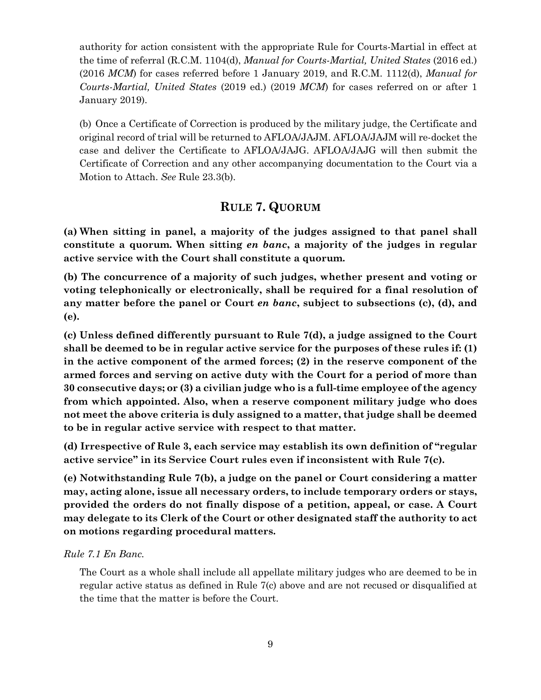authority for action consistent with the appropriate Rule for Courts-Martial in effect at the time of referral (R.C.M. 1104(d), *Manual for Courts-Martial, United States* (2016 ed.) (2016 *MCM*) for cases referred before 1 January 2019, and R.C.M. 1112(d), *Manual for Courts-Martial, United States* (2019 ed.) (2019 *MCM*) for cases referred on or after 1 January 2019).

(b) Once a Certificate of Correction is produced by the military judge, the Certificate and original record of trial will be returned to AFLOA/JAJM. AFLOA/JAJM will re-docket the case and deliver the Certificate to AFLOA/JAJG. AFLOA/JAJG will then submit the Certificate of Correction and any other accompanying documentation to the Court via a Motion to Attach. *See* Rule 23.3(b).

# **RULE 7. QUORUM**

<span id="page-12-0"></span>**(a) When sitting in panel, a majority of the judges assigned to that panel shall constitute a quorum. When sitting** *en banc***, a majority of the judges in regular active service with the Court shall constitute a quorum.**

**(b) The concurrence of a majority of such judges, whether present and voting or voting telephonically or electronically, shall be required for a final resolution of any matter before the panel or Court** *en banc***, subject to subsections (c), (d), and (e).** 

**(c) Unless defined differently pursuant to Rule 7(d), a judge assigned to the Court shall be deemed to be in regular active service for the purposes of these rules if: (1) in the active component of the armed forces; (2) in the reserve component of the armed forces and serving on active duty with the Court for a period of more than 30 consecutive days; or (3) a civilian judge who is a full-time employee of the agency from which appointed. Also, when a reserve component military judge who does not meet the above criteria is duly assigned to a matter, that judge shall be deemed to be in regular active service with respect to that matter.**

**(d) Irrespective of Rule 3, each service may establish its own definition of "regular active service" in its Service Court rules even if inconsistent with Rule 7(c).**

**(e) Notwithstanding Rule 7(b), a judge on the panel or Court considering a matter may, acting alone, issue all necessary orders, to include temporary orders or stays, provided the orders do not finally dispose of a petition, appeal, or case. A Court may delegate to its Clerk of the Court or other designated staff the authority to act on motions regarding procedural matters.** 

# *Rule 7.1 En Banc.*

The Court as a whole shall include all appellate military judges who are deemed to be in regular active status as defined in Rule 7(c) above and are not recused or disqualified at the time that the matter is before the Court.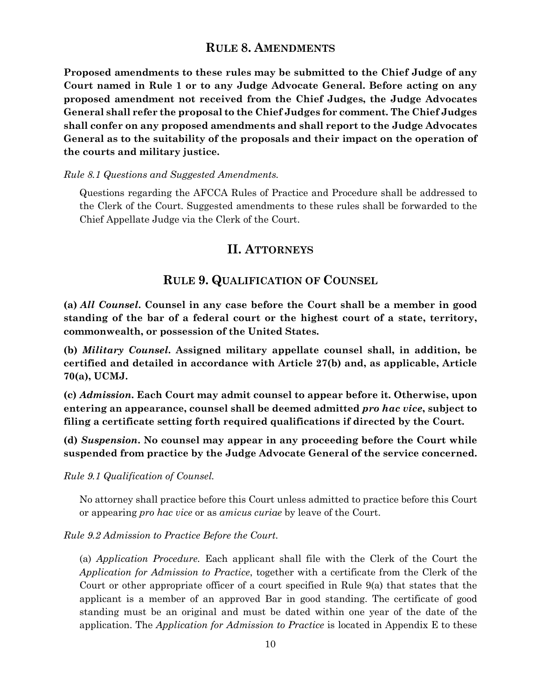# **RULE 8. AMENDMENTS**

<span id="page-13-0"></span>**Proposed amendments to these rules may be submitted to the Chief Judge of any Court named in Rule 1 or to any Judge Advocate General. Before acting on any proposed amendment not received from the Chief Judges, the Judge Advocates General shall refer the proposal to the Chief Judges for comment. The Chief Judges shall confer on any proposed amendments and shall report to the Judge Advocates General as to the suitability of the proposals and their impact on the operation of the courts and military justice.**

#### *Rule 8.1 Questions and Suggested Amendments.*

<span id="page-13-1"></span>Questions regarding the AFCCA Rules of Practice and Procedure shall be addressed to the Clerk of the Court. Suggested amendments to these rules shall be forwarded to the Chief Appellate Judge via the Clerk of the Court.

# **II. ATTORNEYS**

# **RULE 9. QUALIFICATION OF COUNSEL**

<span id="page-13-2"></span>**(a)** *All Counsel***. Counsel in any case before the Court shall be a member in good standing of the bar of a federal court or the highest court of a state, territory, commonwealth, or possession of the United States.**

**(b)** *Military Counsel***. Assigned military appellate counsel shall, in addition, be certified and detailed in accordance with Article 27(b) and, as applicable, Article 70(a), UCMJ.**

**(c)** *Admission***. Each Court may admit counsel to appear before it. Otherwise, upon entering an appearance, counsel shall be deemed admitted** *pro hac vice***, subject to filing a certificate setting forth required qualifications if directed by the Court.** 

**(d)** *Suspension***. No counsel may appear in any proceeding before the Court while suspended from practice by the Judge Advocate General of the service concerned.**

*Rule 9.1 Qualification of Counsel.* 

No attorney shall practice before this Court unless admitted to practice before this Court or appearing *pro hac vice* or as *amicus curiae* by leave of the Court.

*Rule 9.2 Admission to Practice Before the Court.* 

(a) *Application Procedure.* Each applicant shall file with the Clerk of the Court the *Application for Admission to Practice*, together with a certificate from the Clerk of the Court or other appropriate officer of a court specified in Rule 9(a) that states that the applicant is a member of an approved Bar in good standing. The certificate of good standing must be an original and must be dated within one year of the date of the application. The *Application for Admission to Practice* is located in Appendix E to these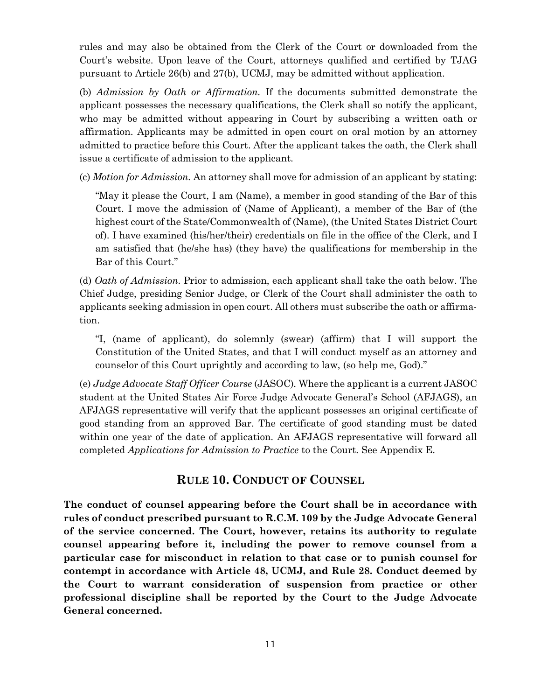rules and may also be obtained from the Clerk of the Court or downloaded from the Court's website. Upon leave of the Court, attorneys qualified and certified by TJAG pursuant to Article 26(b) and 27(b), UCMJ, may be admitted without application.

(b) *Admission by Oath or Affirmation.* If the documents submitted demonstrate the applicant possesses the necessary qualifications, the Clerk shall so notify the applicant, who may be admitted without appearing in Court by subscribing a written oath or affirmation. Applicants may be admitted in open court on oral motion by an attorney admitted to practice before this Court. After the applicant takes the oath, the Clerk shall issue a certificate of admission to the applicant.

(c) *Motion for Admission.* An attorney shall move for admission of an applicant by stating:

"May it please the Court, I am (Name), a member in good standing of the Bar of this Court. I move the admission of (Name of Applicant), a member of the Bar of (the highest court of the State/Commonwealth of (Name), (the United States District Court of). I have examined (his/her/their) credentials on file in the office of the Clerk, and I am satisfied that (he/she has) (they have) the qualifications for membership in the Bar of this Court."

(d) *Oath of Admission.* Prior to admission, each applicant shall take the oath below. The Chief Judge, presiding Senior Judge, or Clerk of the Court shall administer the oath to applicants seeking admission in open court. All others must subscribe the oath or affirmation.

"I, (name of applicant), do solemnly (swear) (affirm) that I will support the Constitution of the United States, and that I will conduct myself as an attorney and counselor of this Court uprightly and according to law, (so help me, God)."

(e) *Judge Advocate Staff Officer Course* (JASOC)*.* Where the applicant is a current JASOC student at the United States Air Force Judge Advocate General's School (AFJAGS), an AFJAGS representative will verify that the applicant possesses an original certificate of good standing from an approved Bar. The certificate of good standing must be dated within one year of the date of application. An AFJAGS representative will forward all completed *Applications for Admission to Practice* to the Court. See Appendix E.

# **RULE 10. CONDUCT OF COUNSEL**

<span id="page-14-0"></span>**The conduct of counsel appearing before the Court shall be in accordance with rules of conduct prescribed pursuant to R.C.M. 109 by the Judge Advocate General of the service concerned. The Court, however, retains its authority to regulate counsel appearing before it, including the power to remove counsel from a particular case for misconduct in relation to that case or to punish counsel for contempt in accordance with Article 48, UCMJ, and Rule 28. Conduct deemed by the Court to warrant consideration of suspension from practice or other professional discipline shall be reported by the Court to the Judge Advocate General concerned.**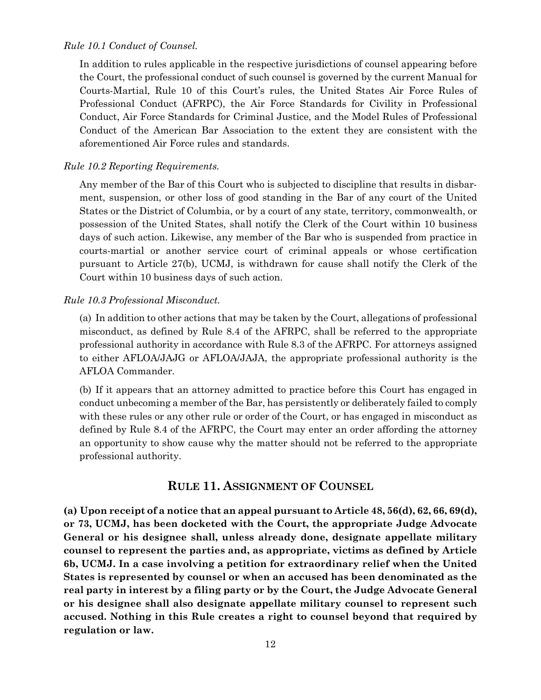#### *Rule 10.1 Conduct of Counsel.*

In addition to rules applicable in the respective jurisdictions of counsel appearing before the Court, the professional conduct of such counsel is governed by the current Manual for Courts-Martial, Rule 10 of this Court's rules, the United States Air Force Rules of Professional Conduct (AFRPC), the Air Force Standards for Civility in Professional Conduct, Air Force Standards for Criminal Justice, and the Model Rules of Professional Conduct of the American Bar Association to the extent they are consistent with the aforementioned Air Force rules and standards.

#### *Rule 10.2 Reporting Requirements.*

Any member of the Bar of this Court who is subjected to discipline that results in disbarment, suspension, or other loss of good standing in the Bar of any court of the United States or the District of Columbia, or by a court of any state, territory, commonwealth, or possession of the United States, shall notify the Clerk of the Court within 10 business days of such action. Likewise, any member of the Bar who is suspended from practice in courts-martial or another service court of criminal appeals or whose certification pursuant to Article 27(b), UCMJ, is withdrawn for cause shall notify the Clerk of the Court within 10 business days of such action.

#### *Rule 10.3 Professional Misconduct.*

(a) In addition to other actions that may be taken by the Court, allegations of professional misconduct, as defined by Rule 8.4 of the AFRPC, shall be referred to the appropriate professional authority in accordance with Rule 8.3 of the AFRPC. For attorneys assigned to either AFLOA/JAJG or AFLOA/JAJA, the appropriate professional authority is the AFLOA Commander.

(b) If it appears that an attorney admitted to practice before this Court has engaged in conduct unbecoming a member of the Bar, has persistently or deliberately failed to comply with these rules or any other rule or order of the Court, or has engaged in misconduct as defined by Rule 8.4 of the AFRPC, the Court may enter an order affording the attorney an opportunity to show cause why the matter should not be referred to the appropriate professional authority.

#### **RULE 11. ASSIGNMENT OF COUNSEL**

<span id="page-15-0"></span>**(a) Upon receipt of a notice that an appeal pursuant to Article 48, 56(d), 62, 66, 69(d), or 73, UCMJ, has been docketed with the Court, the appropriate Judge Advocate General or his designee shall, unless already done, designate appellate military counsel to represent the parties and, as appropriate, victims as defined by Article 6b, UCMJ. In a case involving a petition for extraordinary relief when the United States is represented by counsel or when an accused has been denominated as the real party in interest by a filing party or by the Court, the Judge Advocate General or his designee shall also designate appellate military counsel to represent such accused. Nothing in this Rule creates a right to counsel beyond that required by regulation or law.**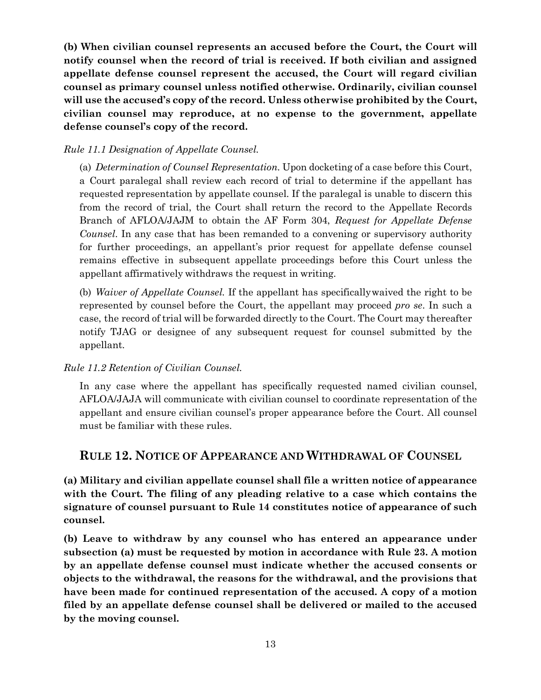**(b) When civilian counsel represents an accused before the Court, the Court will notify counsel when the record of trial is received. If both civilian and assigned appellate defense counsel represent the accused, the Court will regard civilian counsel as primary counsel unless notified otherwise. Ordinarily, civilian counsel will use the accused's copy of the record. Unless otherwise prohibited by the Court, civilian counsel may reproduce, at no expense to the government, appellate defense counsel's copy of the record.**

#### *Rule 11.1 Designation of Appellate Counsel.*

(a) *Determination of Counsel Representation.* Upon docketing of a case before this Court, a Court paralegal shall review each record of trial to determine if the appellant has requested representation by appellate counsel. If the paralegal is unable to discern this from the record of trial, the Court shall return the record to the Appellate Records Branch of AFLOA/JAJM to obtain the AF Form 304, *Request for Appellate Defense Counsel*. In any case that has been remanded to a convening or supervisory authority for further proceedings, an appellant's prior request for appellate defense counsel remains effective in subsequent appellate proceedings before this Court unless the appellant affirmatively withdraws the request in writing.

(b) *Waiver of Appellate Counsel.* If the appellant has specificallywaived the right to be represented by counsel before the Court, the appellant may proceed *pro se*. In such a case, the record of trial will be forwarded directly to the Court. The Court may thereafter notify TJAG or designee of any subsequent request for counsel submitted by the appellant.

#### *Rule 11.2 Retention of Civilian Counsel.*

In any case where the appellant has specifically requested named civilian counsel, AFLOA/JAJA will communicate with civilian counsel to coordinate representation of the appellant and ensure civilian counsel's proper appearance before the Court. All counsel must be familiar with these rules.

# <span id="page-16-0"></span>**RULE 12. NOTICE OF APPEARANCE AND WITHDRAWAL OF COUNSEL**

**(a) Military and civilian appellate counsel shall file a written notice of appearance with the Court. The filing of any pleading relative to a case which contains the signature of counsel pursuant to Rule 14 constitutes notice of appearance of such counsel.**

**(b) Leave to withdraw by any counsel who has entered an appearance under subsection (a) must be requested by motion in accordance with Rule 23. A motion by an appellate defense counsel must indicate whether the accused consents or objects to the withdrawal, the reasons for the withdrawal, and the provisions that have been made for continued representation of the accused. A copy of a motion filed by an appellate defense counsel shall be delivered or mailed to the accused by the moving counsel.**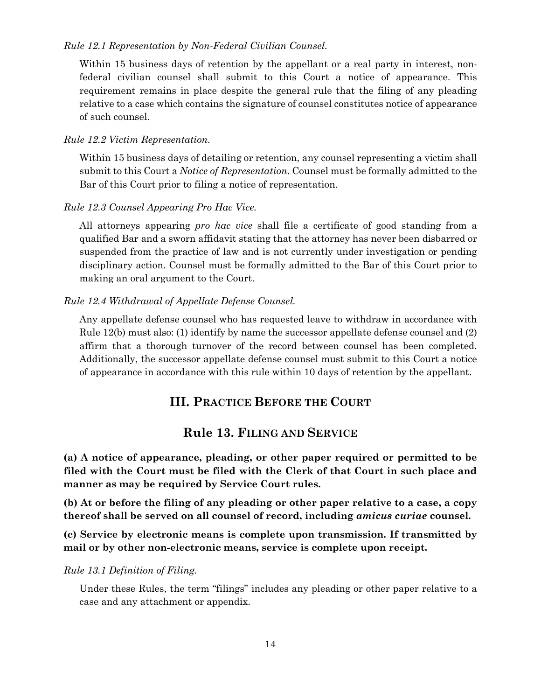#### *Rule 12.1 Representation by Non-Federal Civilian Counsel.*

Within 15 business days of retention by the appellant or a real party in interest, nonfederal civilian counsel shall submit to this Court a notice of appearance. This requirement remains in place despite the general rule that the filing of any pleading relative to a case which contains the signature of counsel constitutes notice of appearance of such counsel.

#### *Rule 12.2 Victim Representation.*

Within 15 business days of detailing or retention, any counsel representing a victim shall submit to this Court a *Notice of Representation*. Counsel must be formally admitted to the Bar of this Court prior to filing a notice of representation.

#### *Rule 12.3 Counsel Appearing Pro Hac Vice.*

All attorneys appearing *pro hac vice* shall file a certificate of good standing from a qualified Bar and a sworn affidavit stating that the attorney has never been disbarred or suspended from the practice of law and is not currently under investigation or pending disciplinary action. Counsel must be formally admitted to the Bar of this Court prior to making an oral argument to the Court.

#### *Rule 12.4 Withdrawal of Appellate Defense Counsel.*

Any appellate defense counsel who has requested leave to withdraw in accordance with Rule 12(b) must also: (1) identify by name the successor appellate defense counsel and (2) affirm that a thorough turnover of the record between counsel has been completed. Additionally, the successor appellate defense counsel must submit to this Court a notice of appearance in accordance with this rule within 10 days of retention by the appellant.

# **III. PRACTICE BEFORE THE COURT**

# **Rule 13. FILING AND SERVICE**

<span id="page-17-1"></span><span id="page-17-0"></span>**(a) A notice of appearance, pleading, or other paper required or permitted to be filed with the Court must be filed with the Clerk of that Court in such place and manner as may be required by Service Court rules.**

**(b) At or before the filing of any pleading or other paper relative to a case, a copy thereof shall be served on all counsel of record, including** *amicus curiae* **counsel.**

**(c) Service by electronic means is complete upon transmission. If transmitted by mail or by other non-electronic means, service is complete upon receipt.**

*Rule 13.1 Definition of Filing.* 

Under these Rules, the term "filings" includes any pleading or other paper relative to a case and any attachment or appendix.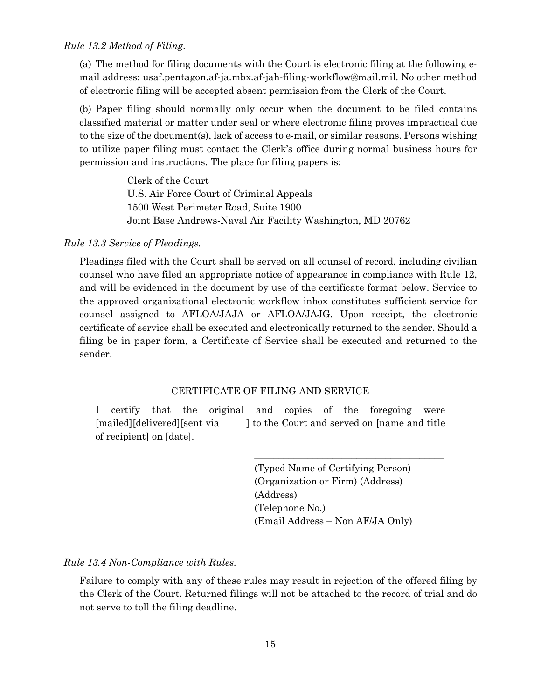(a) The method for filing documents with the Court is electronic filing at the following email address: usaf.pentagon.af-ja.mbx.af-jah-filing-workflow@mail.mil. No other method of electronic filing will be accepted absent permission from the Clerk of the Court.

(b) Paper filing should normally only occur when the document to be filed contains classified material or matter under seal or where electronic filing proves impractical due to the size of the document(s), lack of access to e-mail, or similar reasons. Persons wishing to utilize paper filing must contact the Clerk's office during normal business hours for permission and instructions. The place for filing papers is:

> Clerk of the Court U.S. Air Force Court of Criminal Appeals 1500 West Perimeter Road, Suite 1900 Joint Base Andrews-Naval Air Facility Washington, MD 20762

*Rule 13.3 Service of Pleadings.*

Pleadings filed with the Court shall be served on all counsel of record, including civilian counsel who have filed an appropriate notice of appearance in compliance with Rule 12, and will be evidenced in the document by use of the certificate format below. Service to the approved organizational electronic workflow inbox constitutes sufficient service for counsel assigned to AFLOA/JAJA or AFLOA/JAJG. Upon receipt, the electronic certificate of service shall be executed and electronically returned to the sender. Should a filing be in paper form, a Certificate of Service shall be executed and returned to the sender.

#### CERTIFICATE OF FILING AND SERVICE

I certify that the original and copies of the foregoing were [mailed][delivered][sent via \_\_\_\_\_] to the Court and served on [name and title of recipient] on [date].

> (Typed Name of Certifying Person) (Organization or Firm) (Address) (Address) (Telephone No.) (Email Address – Non AF/JA Only)

\_\_\_\_\_\_\_\_\_\_\_\_\_\_\_\_\_\_\_\_\_\_\_\_\_\_\_\_\_\_\_\_\_\_\_\_\_\_\_

*Rule 13.4 Non-Compliance with Rules.*

Failure to comply with any of these rules may result in rejection of the offered filing by the Clerk of the Court. Returned filings will not be attached to the record of trial and do not serve to toll the filing deadline.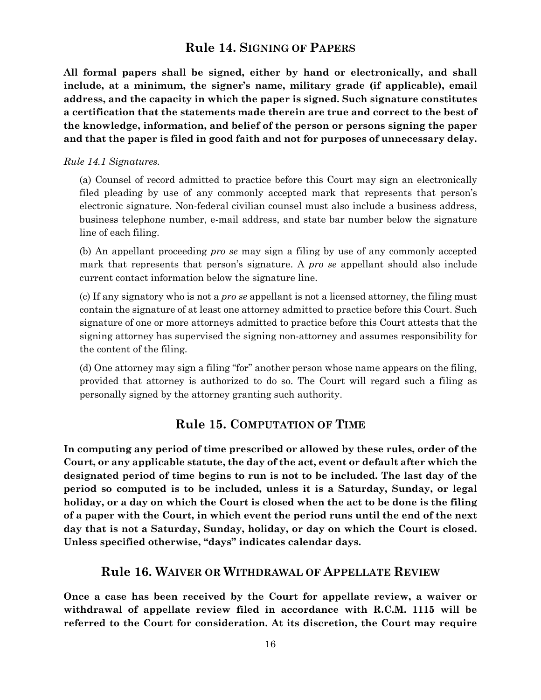# **Rule 14. SIGNING OF PAPERS**

<span id="page-19-0"></span>**All formal papers shall be signed, either by hand or electronically, and shall include, at a minimum, the signer's name, military grade (if applicable), email address, and the capacity in which the paper is signed. Such signature constitutes a certification that the statements made therein are true and correct to the best of the knowledge, information, and belief of the person or persons signing the paper and that the paper is filed in good faith and not for purposes of unnecessary delay.**

#### *Rule 14.1 Signatures.*

(a) Counsel of record admitted to practice before this Court may sign an electronically filed pleading by use of any commonly accepted mark that represents that person's electronic signature. Non-federal civilian counsel must also include a business address, business telephone number, e-mail address, and state bar number below the signature line of each filing.

(b) An appellant proceeding *pro se* may sign a filing by use of any commonly accepted mark that represents that person's signature. A *pro se* appellant should also include current contact information below the signature line.

(c) If any signatory who is not a *pro se* appellant is not a licensed attorney, the filing must contain the signature of at least one attorney admitted to practice before this Court. Such signature of one or more attorneys admitted to practice before this Court attests that the signing attorney has supervised the signing non-attorney and assumes responsibility for the content of the filing.

(d) One attorney may sign a filing "for" another person whose name appears on the filing, provided that attorney is authorized to do so. The Court will regard such a filing as personally signed by the attorney granting such authority.

# **Rule 15. COMPUTATION OF TIME**

<span id="page-19-1"></span>**In computing any period of time prescribed or allowed by these rules, order of the Court, or any applicable statute, the day of the act, event or default after which the designated period of time begins to run is not to be included. The last day of the period so computed is to be included, unless it is a Saturday, Sunday, or legal holiday, or a day on which the Court is closed when the act to be done is the filing of a paper with the Court, in which event the period runs until the end of the next day that is not a Saturday, Sunday, holiday, or day on which the Court is closed. Unless specified otherwise, "days" indicates calendar days.**

# **Rule 16. WAIVER OR WITHDRAWAL OF APPELLATE REVIEW**

<span id="page-19-2"></span>**Once a case has been received by the Court for appellate review, a waiver or withdrawal of appellate review filed in accordance with R.C.M. 1115 will be referred to the Court for consideration. At its discretion, the Court may require**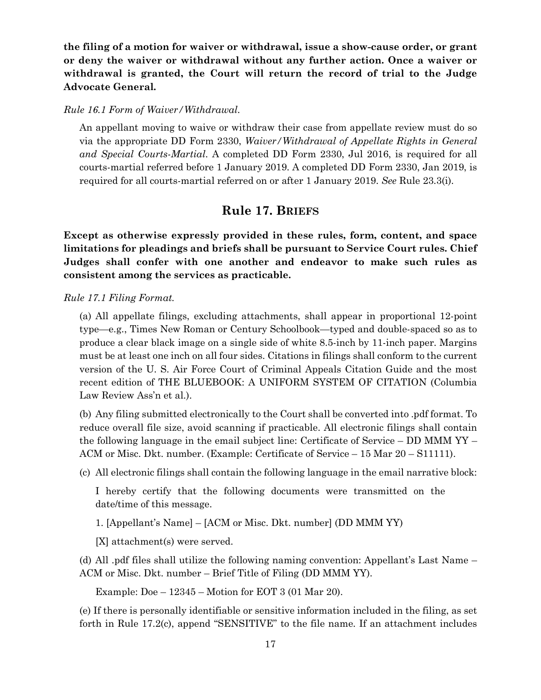**the filing of a motion for waiver or withdrawal, issue a show-cause order, or grant or deny the waiver or withdrawal without any further action. Once a waiver or withdrawal is granted, the Court will return the record of trial to the Judge Advocate General.**

#### *Rule 16.1 Form of Waiver/Withdrawal.*

An appellant moving to waive or withdraw their case from appellate review must do so via the appropriate DD Form 2330, *Waiver/Withdrawal of Appellate Rights in General and Special Courts-Martial*. A completed DD Form 2330, Jul 2016, is required for all courts-martial referred before 1 January 2019. A completed DD Form 2330, Jan 2019, is required for all courts-martial referred on or after 1 January 2019. *See* Rule 23.3(i).

# **Rule 17. BRIEFS**

<span id="page-20-0"></span>**Except as otherwise expressly provided in these rules, form, content, and space limitations for pleadings and briefs shall be pursuant to Service Court rules. Chief Judges shall confer with one another and endeavor to make such rules as consistent among the services as practicable.**

*Rule 17.1 Filing Format.*

(a) All appellate filings, excluding attachments, shall appear in proportional 12-point type—e.g., Times New Roman or Century Schoolbook—typed and double-spaced so as to produce a clear black image on a single side of white 8.5-inch by 11-inch paper. Margins must be at least one inch on all four sides. Citations in filings shall conform to the current version of the U. S. Air Force Court of Criminal Appeals Citation Guide and the most recent edition of THE BLUEBOOK: A UNIFORM SYSTEM OF CITATION (Columbia Law Review Ass'n et al.).

(b) Any filing submitted electronically to the Court shall be converted into .pdf format. To reduce overall file size, avoid scanning if practicable. All electronic filings shall contain the following language in the email subject line: Certificate of Service – DD MMM YY – ACM or Misc. Dkt. number. (Example: Certificate of Service – 15 Mar 20 – S11111).

(c) All electronic filings shall contain the following language in the email narrative block:

I hereby certify that the following documents were transmitted on the date/time of this message.

1. [Appellant's Name] – [ACM or Misc. Dkt. number] (DD MMM YY)

[X] attachment(s) were served.

(d) All .pdf files shall utilize the following naming convention: Appellant's Last Name – ACM or Misc. Dkt. number – Brief Title of Filing (DD MMM YY).

Example: Doe – 12345 – Motion for EOT 3 (01 Mar 20).

(e) If there is personally identifiable or sensitive information included in the filing, as set forth in Rule 17.2(c), append "SENSITIVE" to the file name. If an attachment includes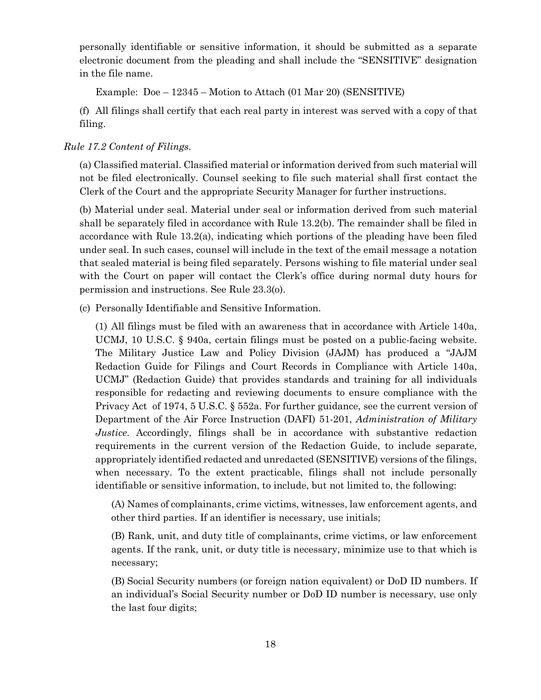personally identifiable or sensitive information, it should be submitted as a separate electronic document from the pleading and shall include the "SENSITIVE" designation in the file name.

Example: Doe – 12345 – Motion to Attach (01 Mar 20) (SENSITIVE)

(f) All filings shall certify that each real party in interest was served with a copy of that filing.

#### *Rule 17.2 Content of Filings.*

(a) Classified material. Classified material or information derived from such material will not be filed electronically. Counsel seeking to file such material shall first contact the Clerk of the Court and the appropriate Security Manager for further instructions.

(b) Material under seal. Material under seal or information derived from such material shall be separately filed in accordance with Rule 13.2(b). The remainder shall be filed in accordance with Rule 13.2(a), indicating which portions of the pleading have been filed under seal. In such cases, counsel will include in the text of the email message a notation that sealed material is being filed separately. Persons wishing to file material under seal with the Court on paper will contact the Clerk's office during normal duty hours for permission and instructions. See Rule 23.3(o).

(c) Personally Identifiable and Sensitive Information.

(1) All filings must be filed with an awareness that in accordance with Article 140a, UCMJ, 10 U.S.C. § 940a, certain filings must be posted on a public-facing website. The Military Justice Law and Policy Division (JAJM) has produced a "JAJM Redaction Guide for Filings and Court Records in Compliance with Article 140a, UCMJ" (Redaction Guide) that provides standards and training for all individuals responsible for redacting and reviewing documents to ensure compliance with the Privacy Act of 1974, 5 U.S.C. § 552a. For further guidance, see the current version of Department of the Air Force Instruction (DAFI) 51-201, *Administration of Military Justice*. Accordingly, filings shall be in accordance with substantive redaction requirements in the current version of the Redaction Guide, to include separate, appropriately identified redacted and unredacted (SENSITIVE) versions of the filings, when necessary. To the extent practicable, filings shall not include personally identifiable or sensitive information, to include, but not limited to, the following:

(A) Names of complainants, crime victims, witnesses, law enforcement agents, and other third parties. If an identifier is necessary, use initials;

(B) Rank, unit, and duty title of complainants, crime victims, or law enforcement agents. If the rank, unit, or duty title is necessary, minimize use to that which is necessary;

(B) Social Security numbers (or foreign nation equivalent) or DoD ID numbers. If an individual's Social Security number or DoD ID number is necessary, use only the last four digits;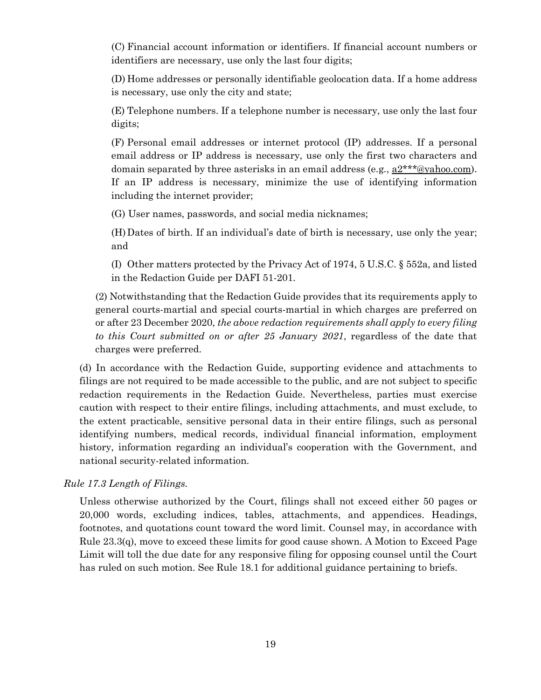(C) Financial account information or identifiers. If financial account numbers or identifiers are necessary, use only the last four digits;

(D) Home addresses or personally identifiable geolocation data. If a home address is necessary, use only the city and state;

(E) Telephone numbers. If a telephone number is necessary, use only the last four digits;

(F) Personal email addresses or internet protocol (IP) addresses. If a personal email address or IP address is necessary, use only the first two characters and domain separated by three asterisks in an email address (e.g.,  $a2***@yahoo.com$ ). If an IP address is necessary, minimize the use of identifying information including the internet provider;

(G) User names, passwords, and social media nicknames;

(H)Dates of birth. If an individual's date of birth is necessary, use only the year; and

(I) Other matters protected by the Privacy Act of 1974, 5 U.S.C. § 552a, and listed in the Redaction Guide per DAFI 51-201.

(2) Notwithstanding that the Redaction Guide provides that its requirements apply to general courts-martial and special courts-martial in which charges are preferred on or after 23 December 2020, *the above redaction requirements shall apply to every filing to this Court submitted on or after 25 January 2021*, regardless of the date that charges were preferred.

(d) In accordance with the Redaction Guide, supporting evidence and attachments to filings are not required to be made accessible to the public, and are not subject to specific redaction requirements in the Redaction Guide. Nevertheless, parties must exercise caution with respect to their entire filings, including attachments, and must exclude, to the extent practicable, sensitive personal data in their entire filings, such as personal identifying numbers, medical records, individual financial information, employment history, information regarding an individual's cooperation with the Government, and national security-related information.

*Rule 17.3 Length of Filings.*

Unless otherwise authorized by the Court, filings shall not exceed either 50 pages or 20,000 words, excluding indices, tables, attachments, and appendices. Headings, footnotes, and quotations count toward the word limit. Counsel may, in accordance with Rule 23.3(q), move to exceed these limits for good cause shown. A Motion to Exceed Page Limit will toll the due date for any responsive filing for opposing counsel until the Court has ruled on such motion. See Rule 18.1 for additional guidance pertaining to briefs.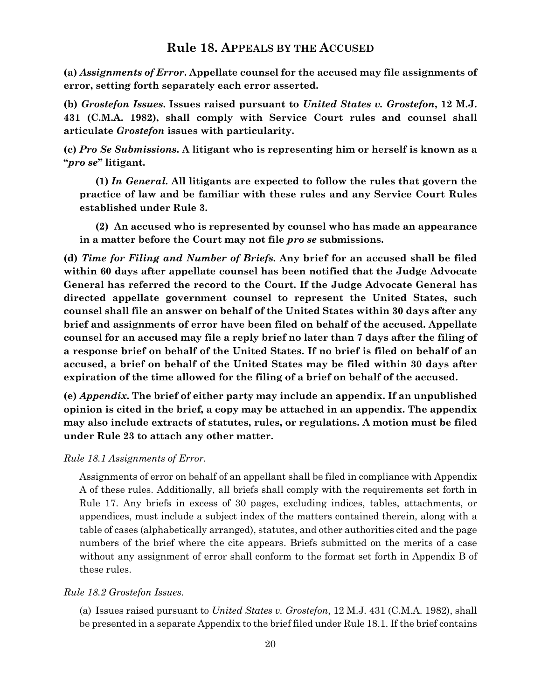# **Rule 18. APPEALS BY THE ACCUSED**

<span id="page-23-0"></span>**(a)** *Assignments of Error***. Appellate counsel for the accused may file assignments of error, setting forth separately each error asserted.**

**(b)** *Grostefon Issues***. Issues raised pursuant to** *United States v. Grostefon***, 12 M.J. 431 (C.M.A. 1982), shall comply with Service Court rules and counsel shall articulate** *Grostefon* **issues with particularity.**

**(c)** *Pro Se Submissions***. A litigant who is representing him or herself is known as a "***pro se***" litigant.** 

**(1)** *In General.* **All litigants are expected to follow the rules that govern the practice of law and be familiar with these rules and any Service Court Rules established under Rule 3.**

**(2) An accused who is represented by counsel who has made an appearance in a matter before the Court may not file** *pro se* **submissions.** 

**(d)** *Time for Filing and Number of Briefs***. Any brief for an accused shall be filed within 60 days after appellate counsel has been notified that the Judge Advocate General has referred the record to the Court. If the Judge Advocate General has directed appellate government counsel to represent the United States, such counsel shall file an answer on behalf of the United States within 30 days after any brief and assignments of error have been filed on behalf of the accused. Appellate counsel for an accused may file a reply brief no later than 7 days after the filing of a response brief on behalf of the United States. If no brief is filed on behalf of an accused, a brief on behalf of the United States may be filed within 30 days after expiration of the time allowed for the filing of a brief on behalf of the accused.**

**(e)** *Appendix***. The brief of either party may include an appendix. If an unpublished opinion is cited in the brief, a copy may be attached in an appendix. The appendix may also include extracts of statutes, rules, or regulations. A motion must be filed under Rule 23 to attach any other matter.**

*Rule 18.1 Assignments of Error.* 

Assignments of error on behalf of an appellant shall be filed in compliance with Appendix A of these rules. Additionally, all briefs shall comply with the requirements set forth in Rule 17. Any briefs in excess of 30 pages, excluding indices, tables, attachments, or appendices, must include a subject index of the matters contained therein, along with a table of cases (alphabetically arranged), statutes, and other authorities cited and the page numbers of the brief where the cite appears. Briefs submitted on the merits of a case without any assignment of error shall conform to the format set forth in Appendix B of these rules.

*Rule 18.2 Grostefon Issues.*

(a) Issues raised pursuant to *United States v. Grostefon*, 12 M.J. 431 (C.M.A. 1982), shall be presented in a separate Appendix to the brief filed under Rule 18.1. If the brief contains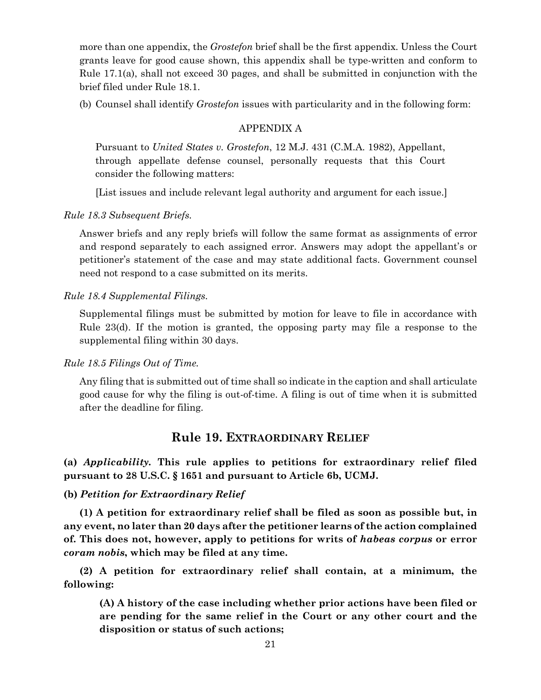more than one appendix, the *Grostefon* brief shall be the first appendix. Unless the Court grants leave for good cause shown, this appendix shall be type-written and conform to Rule 17.1(a), shall not exceed 30 pages, and shall be submitted in conjunction with the brief filed under Rule 18.1.

(b) Counsel shall identify *Grostefon* issues with particularity and in the following form:

#### APPENDIX A

Pursuant to *United States v. Grostefon*, 12 M.J. 431 (C.M.A. 1982), Appellant, through appellate defense counsel, personally requests that this Court consider the following matters:

[List issues and include relevant legal authority and argument for each issue.]

#### *Rule 18.3 Subsequent Briefs.*

Answer briefs and any reply briefs will follow the same format as assignments of error and respond separately to each assigned error. Answers may adopt the appellant's or petitioner's statement of the case and may state additional facts. Government counsel need not respond to a case submitted on its merits.

#### *Rule 18.4 Supplemental Filings.*

Supplemental filings must be submitted by motion for leave to file in accordance with Rule 23(d). If the motion is granted, the opposing party may file a response to the supplemental filing within 30 days.

#### *Rule 18.5 Filings Out of Time.*

Any filing that is submitted out of time shall so indicate in the caption and shall articulate good cause for why the filing is out-of-time. A filing is out of time when it is submitted after the deadline for filing.

# **Rule 19. EXTRAORDINARY RELIEF**

<span id="page-24-0"></span>**(a)** *Applicability.* **This rule applies to petitions for extraordinary relief filed pursuant to 28 U.S.C. § 1651 and pursuant to Article 6b, UCMJ.** 

#### **(b)** *Petition for Extraordinary Relief*

**(1) A petition for extraordinary relief shall be filed as soon as possible but, in any event, no later than 20 days after the petitioner learns of the action complained of. This does not, however, apply to petitions for writs of** *habeas corpus* **or error**  *coram nobis***, which may be filed at any time.** 

**(2) A petition for extraordinary relief shall contain, at a minimum, the following:**

**(A) A history of the case including whether prior actions have been filed or are pending for the same relief in the Court or any other court and the disposition or status of such actions;**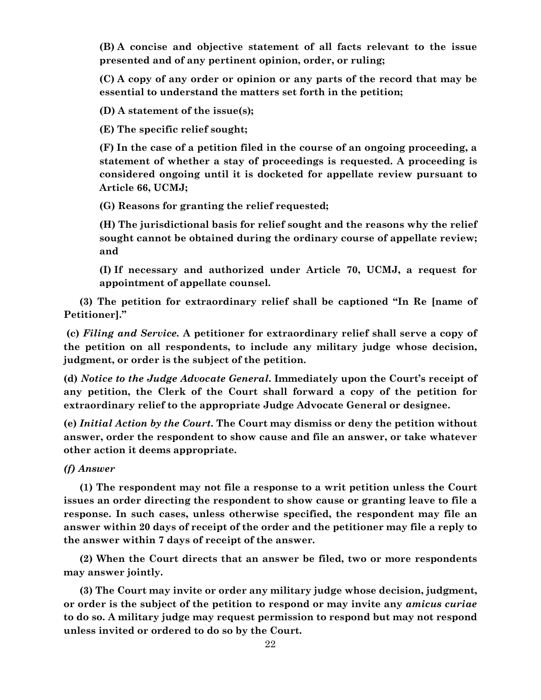**(B) A concise and objective statement of all facts relevant to the issue presented and of any pertinent opinion, order, or ruling;**

**(C) A copy of any order or opinion or any parts of the record that may be essential to understand the matters set forth in the petition;**

**(D) A statement of the issue(s);**

**(E) The specific relief sought;**

**(F) In the case of a petition filed in the course of an ongoing proceeding, a statement of whether a stay of proceedings is requested. A proceeding is considered ongoing until it is docketed for appellate review pursuant to Article 66, UCMJ;**

**(G) Reasons for granting the relief requested;**

**(H) The jurisdictional basis for relief sought and the reasons why the relief sought cannot be obtained during the ordinary course of appellate review; and**

**(I) If necessary and authorized under Article 70, UCMJ, a request for appointment of appellate counsel.** 

**(3) The petition for extraordinary relief shall be captioned "In Re [name of Petitioner]."**

**(c)** *Filing and Service.* **A petitioner for extraordinary relief shall serve a copy of the petition on all respondents, to include any military judge whose decision, judgment, or order is the subject of the petition.**

**(d)** *Notice to the Judge Advocate General***. Immediately upon the Court's receipt of any petition, the Clerk of the Court shall forward a copy of the petition for extraordinary relief to the appropriate Judge Advocate General or designee.**

**(e)** *Initial Action by the Court***. The Court may dismiss or deny the petition without answer, order the respondent to show cause and file an answer, or take whatever other action it deems appropriate.** 

*(f) Answer*

**(1) The respondent may not file a response to a writ petition unless the Court issues an order directing the respondent to show cause or granting leave to file a response. In such cases, unless otherwise specified, the respondent may file an answer within 20 days of receipt of the order and the petitioner may file a reply to the answer within 7 days of receipt of the answer.**

**(2) When the Court directs that an answer be filed, two or more respondents may answer jointly.** 

**(3) The Court may invite or order any military judge whose decision, judgment, or order is the subject of the petition to respond or may invite any** *amicus curiae* **to do so. A military judge may request permission to respond but may not respond unless invited or ordered to do so by the Court.**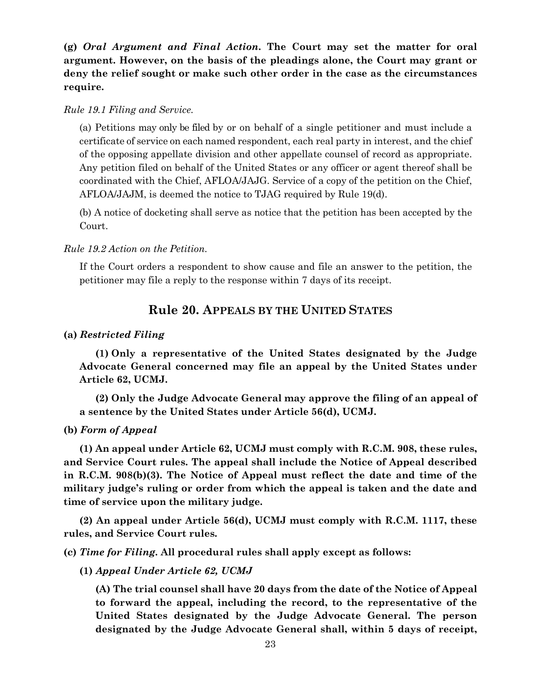**(g)** *Oral Argument and Final Action***. The Court may set the matter for oral argument. However, on the basis of the pleadings alone, the Court may grant or deny the relief sought or make such other order in the case as the circumstances require.**

#### *Rule 19.1 Filing and Service.*

(a) Petitions may only be filed by or on behalf of a single petitioner and must include a certificate of service on each named respondent, each real party in interest, and the chief of the opposing appellate division and other appellate counsel of record as appropriate. Any petition filed on behalf of the United States or any officer or agent thereof shall be coordinated with the Chief, AFLOA/JAJG. Service of a copy of the petition on the Chief, AFLOA/JAJM, is deemed the notice to TJAG required by Rule 19(d).

(b) A notice of docketing shall serve as notice that the petition has been accepted by the Court.

#### *Rule 19.2 Action on the Petition.*

<span id="page-26-0"></span>If the Court orders a respondent to show cause and file an answer to the petition, the petitioner may file a reply to the response within 7 days of its receipt.

### **Rule 20. APPEALS BY THE UNITED STATES**

#### **(a)** *Restricted Filing*

**(1) Only a representative of the United States designated by the Judge Advocate General concerned may file an appeal by the United States under Article 62, UCMJ.**

**(2) Only the Judge Advocate General may approve the filing of an appeal of a sentence by the United States under Article 56(d), UCMJ.**

#### **(b)** *Form of Appeal*

**(1) An appeal under Article 62, UCMJ must comply with R.C.M. 908, these rules, and Service Court rules. The appeal shall include the Notice of Appeal described in R.C.M. 908(b)(3). The Notice of Appeal must reflect the date and time of the military judge's ruling or order from which the appeal is taken and the date and time of service upon the military judge.**

**(2) An appeal under Article 56(d), UCMJ must comply with R.C.M. 1117, these rules, and Service Court rules.**

**(c)** *Time for Filing***. All procedural rules shall apply except as follows:**

#### **(1)** *Appeal Under Article 62, UCMJ*

**(A) The trial counsel shall have 20 days from the date of the Notice of Appeal to forward the appeal, including the record, to the representative of the United States designated by the Judge Advocate General. The person designated by the Judge Advocate General shall, within 5 days of receipt,**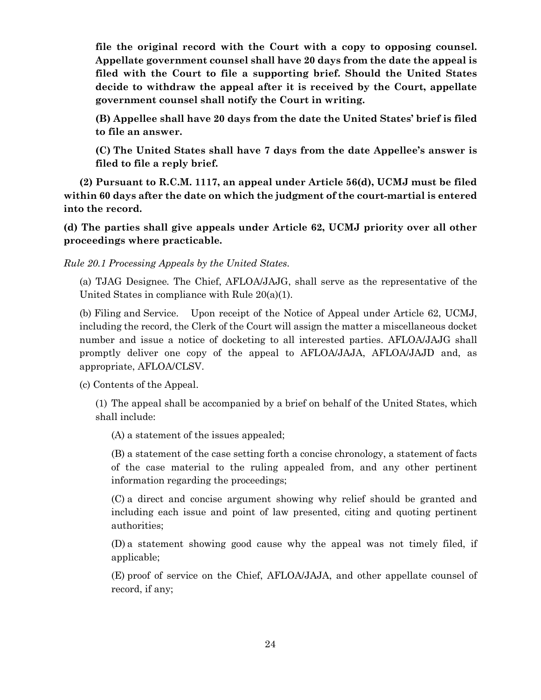**file the original record with the Court with a copy to opposing counsel. Appellate government counsel shall have 20 days from the date the appeal is filed with the Court to file a supporting brief. Should the United States decide to withdraw the appeal after it is received by the Court, appellate government counsel shall notify the Court in writing.**

**(B) Appellee shall have 20 days from the date the United States' brief is filed to file an answer.**

**(C) The United States shall have 7 days from the date Appellee's answer is filed to file a reply brief.**

**(2) Pursuant to R.C.M. 1117, an appeal under Article 56(d), UCMJ must be filed within 60 days after the date on which the judgment of the court-martial is entered into the record.**

**(d) The parties shall give appeals under Article 62, UCMJ priority over all other proceedings where practicable.**

*Rule 20.1 Processing Appeals by the United States.*

(a) TJAG Designee*.* The Chief, AFLOA/JAJG, shall serve as the representative of the United States in compliance with Rule 20(a)(1).

(b) Filing and Service. Upon receipt of the Notice of Appeal under Article 62, UCMJ, including the record, the Clerk of the Court will assign the matter a miscellaneous docket number and issue a notice of docketing to all interested parties. AFLOA/JAJG shall promptly deliver one copy of the appeal to AFLOA/JAJA, AFLOA/JAJD and, as appropriate, AFLOA/CLSV.

(c) Contents of the Appeal.

(1) The appeal shall be accompanied by a brief on behalf of the United States, which shall include:

(A) a statement of the issues appealed;

(B) a statement of the case setting forth a concise chronology, a statement of facts of the case material to the ruling appealed from, and any other pertinent information regarding the proceedings;

(C) a direct and concise argument showing why relief should be granted and including each issue and point of law presented, citing and quoting pertinent authorities;

(D) a statement showing good cause why the appeal was not timely filed, if applicable;

(E) proof of service on the Chief, AFLOA/JAJA, and other appellate counsel of record, if any;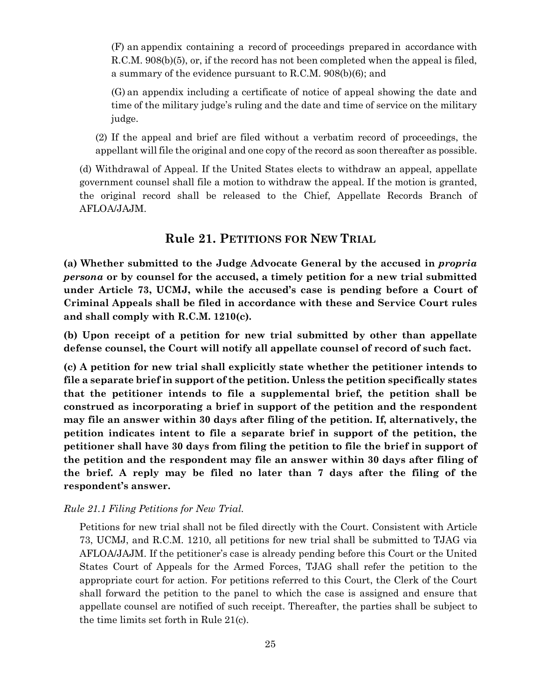(F) an appendix containing a record of proceedings prepared in accordance with R.C.M. 908(b)(5), or, if the record has not been completed when the appeal is filed, a summary of the evidence pursuant to R.C.M. 908(b)(6); and

(G) an appendix including a certificate of notice of appeal showing the date and time of the military judge's ruling and the date and time of service on the military judge.

(2) If the appeal and brief are filed without a verbatim record of proceedings, the appellant will file the original and one copy of the record as soon thereafter as possible.

(d) Withdrawal of Appeal. If the United States elects to withdraw an appeal, appellate government counsel shall file a motion to withdraw the appeal. If the motion is granted, the original record shall be released to the Chief, Appellate Records Branch of AFLOA/JAJM.

# **Rule 21. PETITIONS FOR NEW TRIAL**

<span id="page-28-0"></span>**(a) Whether submitted to the Judge Advocate General by the accused in** *propria persona* **or by counsel for the accused, a timely petition for a new trial submitted under Article 73, UCMJ, while the accused's case is pending before a Court of Criminal Appeals shall be filed in accordance with these and Service Court rules and shall comply with R.C.M. 1210(c).** 

**(b) Upon receipt of a petition for new trial submitted by other than appellate defense counsel, the Court will notify all appellate counsel of record of such fact.**

**(c) A petition for new trial shall explicitly state whether the petitioner intends to file a separate brief in support of the petition. Unless the petition specifically states that the petitioner intends to file a supplemental brief, the petition shall be construed as incorporating a brief in support of the petition and the respondent may file an answer within 30 days after filing of the petition. If, alternatively, the petition indicates intent to file a separate brief in support of the petition, the petitioner shall have 30 days from filing the petition to file the brief in support of the petition and the respondent may file an answer within 30 days after filing of the brief. A reply may be filed no later than 7 days after the filing of the respondent's answer.**

#### *Rule 21.1 Filing Petitions for New Trial.*

Petitions for new trial shall not be filed directly with the Court. Consistent with Article 73, UCMJ, and R.C.M. 1210, all petitions for new trial shall be submitted to TJAG via AFLOA/JAJM. If the petitioner's case is already pending before this Court or the United States Court of Appeals for the Armed Forces, TJAG shall refer the petition to the appropriate court for action. For petitions referred to this Court, the Clerk of the Court shall forward the petition to the panel to which the case is assigned and ensure that appellate counsel are notified of such receipt. Thereafter, the parties shall be subject to the time limits set forth in Rule 21(c).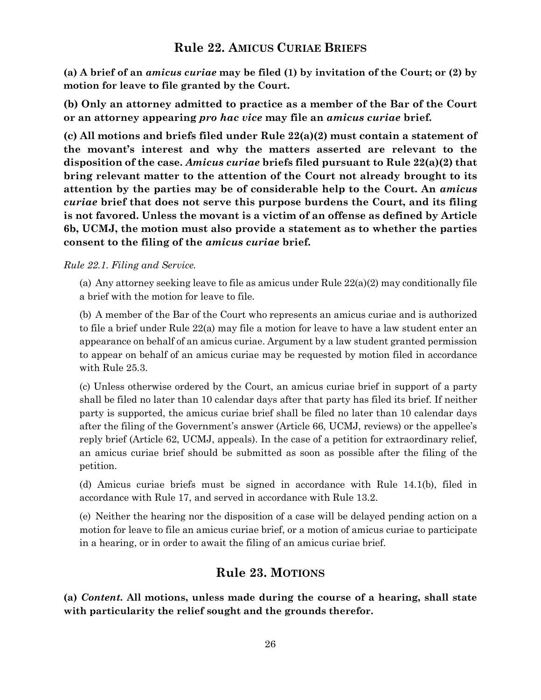# **Rule 22. AMICUS CURIAE BRIEFS**

<span id="page-29-0"></span>**(a) A brief of an** *amicus curiae* **may be filed (1) by invitation of the Court; or (2) by motion for leave to file granted by the Court.** 

**(b) Only an attorney admitted to practice as a member of the Bar of the Court or an attorney appearing** *pro hac vice* **may file an** *amicus curiae* **brief.**

**(c) All motions and briefs filed under Rule 22(a)(2) must contain a statement of the movant's interest and why the matters asserted are relevant to the disposition of the case.** *Amicus curiae* **briefs filed pursuant to Rule 22(a)(2) that bring relevant matter to the attention of the Court not already brought to its attention by the parties may be of considerable help to the Court. An** *amicus curiae* **brief that does not serve this purpose burdens the Court, and its filing is not favored. Unless the movant is a victim of an offense as defined by Article 6b, UCMJ, the motion must also provide a statement as to whether the parties consent to the filing of the** *amicus curiae* **brief.**

#### *Rule 22.1. Filing and Service.*

(a) Any attorney seeking leave to file as amicus under Rule  $22(a)(2)$  may conditionally file a brief with the motion for leave to file.

(b) A member of the Bar of the Court who represents an amicus curiae and is authorized to file a brief under Rule 22(a) may file a motion for leave to have a law student enter an appearance on behalf of an amicus curiae. Argument by a law student granted permission to appear on behalf of an amicus curiae may be requested by motion filed in accordance with Rule 25.3.

(c) Unless otherwise ordered by the Court, an amicus curiae brief in support of a party shall be filed no later than 10 calendar days after that party has filed its brief. If neither party is supported, the amicus curiae brief shall be filed no later than 10 calendar days after the filing of the Government's answer (Article 66, UCMJ, reviews) or the appellee's reply brief (Article 62, UCMJ, appeals). In the case of a petition for extraordinary relief, an amicus curiae brief should be submitted as soon as possible after the filing of the petition.

(d) Amicus curiae briefs must be signed in accordance with Rule 14.1(b), filed in accordance with Rule 17, and served in accordance with Rule 13.2.

(e) Neither the hearing nor the disposition of a case will be delayed pending action on a motion for leave to file an amicus curiae brief, or a motion of amicus curiae to participate in a hearing, or in order to await the filing of an amicus curiae brief.

# **Rule 23. MOTIONS**

<span id="page-29-1"></span>**(a)** *Content***. All motions, unless made during the course of a hearing, shall state with particularity the relief sought and the grounds therefor.**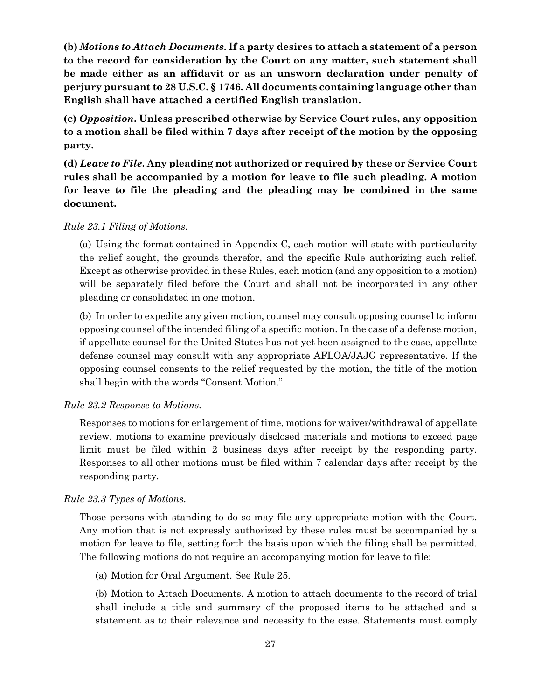**(b)** *Motions to Attach Documents***. If a party desires to attach a statement of a person to the record for consideration by the Court on any matter, such statement shall be made either as an affidavit or as an unsworn declaration under penalty of perjury pursuant to 28 U.S.C. § 1746. All documents containing language other than English shall have attached a certified English translation.**

**(c)** *Opposition***. Unless prescribed otherwise by Service Court rules, any opposition to a motion shall be filed within 7 days after receipt of the motion by the opposing party.**

**(d)** *Leave to File***. Any pleading not authorized or required by these or Service Court rules shall be accompanied by a motion for leave to file such pleading. A motion for leave to file the pleading and the pleading may be combined in the same document.**

#### *Rule 23.1 Filing of Motions.*

(a) Using the format contained in Appendix C, each motion will state with particularity the relief sought, the grounds therefor, and the specific Rule authorizing such relief. Except as otherwise provided in these Rules, each motion (and any opposition to a motion) will be separately filed before the Court and shall not be incorporated in any other pleading or consolidated in one motion.

(b) In order to expedite any given motion, counsel may consult opposing counsel to inform opposing counsel of the intended filing of a specific motion. In the case of a defense motion, if appellate counsel for the United States has not yet been assigned to the case, appellate defense counsel may consult with any appropriate AFLOA/JAJG representative. If the opposing counsel consents to the relief requested by the motion, the title of the motion shall begin with the words "Consent Motion."

#### *Rule 23.2 Response to Motions.*

Responses to motions for enlargement of time, motions for waiver/withdrawal of appellate review, motions to examine previously disclosed materials and motions to exceed page limit must be filed within 2 business days after receipt by the responding party. Responses to all other motions must be filed within 7 calendar days after receipt by the responding party.

#### *Rule 23.3 Types of Motions.*

Those persons with standing to do so may file any appropriate motion with the Court. Any motion that is not expressly authorized by these rules must be accompanied by a motion for leave to file, setting forth the basis upon which the filing shall be permitted. The following motions do not require an accompanying motion for leave to file:

(a) Motion for Oral Argument. See Rule 25.

(b) Motion to Attach Documents. A motion to attach documents to the record of trial shall include a title and summary of the proposed items to be attached and a statement as to their relevance and necessity to the case. Statements must comply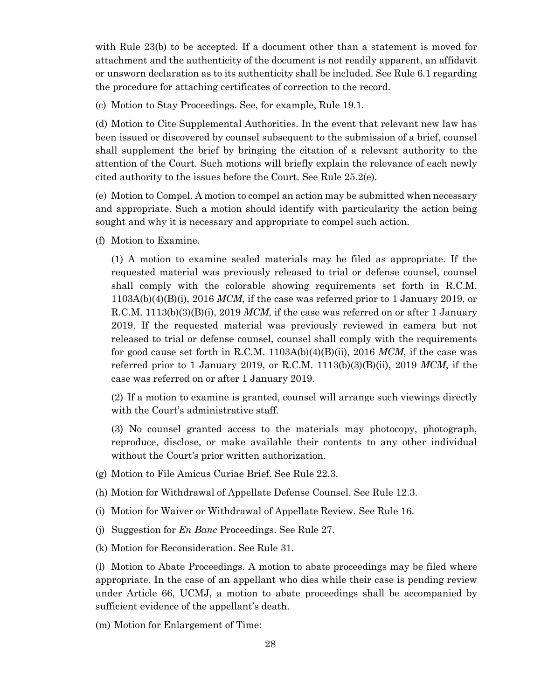with Rule 23(b) to be accepted. If a document other than a statement is moved for attachment and the authenticity of the document is not readily apparent, an affidavit or unsworn declaration as to its authenticity shall be included. See Rule 6.1 regarding the procedure for attaching certificates of correction to the record.

(c) Motion to Stay Proceedings. See, for example, Rule 19.1.

(d) Motion to Cite Supplemental Authorities. In the event that relevant new law has been issued or discovered by counsel subsequent to the submission of a brief, counsel shall supplement the brief by bringing the citation of a relevant authority to the attention of the Court. Such motions will briefly explain the relevance of each newly cited authority to the issues before the Court. See Rule 25.2(e).

(e) Motion to Compel. A motion to compel an action may be submitted when necessary and appropriate. Such a motion should identify with particularity the action being sought and why it is necessary and appropriate to compel such action.

(f) Motion to Examine.

(1) A motion to examine sealed materials may be filed as appropriate. If the requested material was previously released to trial or defense counsel, counsel shall comply with the colorable showing requirements set forth in R.C.M. 1103A(b)(4)(B)(i), 2016 *MCM*, if the case was referred prior to 1 January 2019, or R.C.M. 1113(b)(3)(B)(i), 2019 MCM, if the case was referred on or after 1 January 2019. If the requested material was previously reviewed in camera but not released to trial or defense counsel, counsel shall comply with the requirements for good cause set forth in R.C.M. 1103A(b)(4)(B)(ii), 2016 *MCM*, if the case was referred prior to 1 January 2019, or R.C.M. 1113(b)(3)(B)(ii), 2019 *MCM*, if the case was referred on or after 1 January 2019.

(2) If a motion to examine is granted, counsel will arrange such viewings directly with the Court's administrative staff.

(3) No counsel granted access to the materials may photocopy, photograph, reproduce, disclose, or make available their contents to any other individual without the Court's prior written authorization.

- (g) Motion to File Amicus Curiae Brief. See Rule 22.3.
- (h) Motion for Withdrawal of Appellate Defense Counsel. See Rule 12.3.
- (i) Motion for Waiver or Withdrawal of Appellate Review. See Rule 16.
- (j) Suggestion for *En Banc* Proceedings. See Rule 27.
- (k) Motion for Reconsideration. See Rule 31.

(l) Motion to Abate Proceedings. A motion to abate proceedings may be filed where appropriate. In the case of an appellant who dies while their case is pending review under Article 66, UCMJ, a motion to abate proceedings shall be accompanied by sufficient evidence of the appellant's death.

(m) Motion for Enlargement of Time: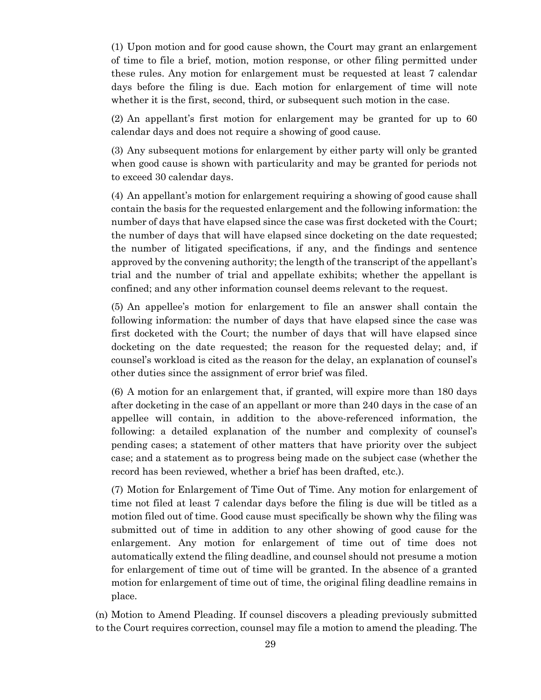(1) Upon motion and for good cause shown, the Court may grant an enlargement of time to file a brief, motion, motion response, or other filing permitted under these rules. Any motion for enlargement must be requested at least 7 calendar days before the filing is due. Each motion for enlargement of time will note whether it is the first, second, third, or subsequent such motion in the case.

(2) An appellant's first motion for enlargement may be granted for up to 60 calendar days and does not require a showing of good cause.

(3) Any subsequent motions for enlargement by either party will only be granted when good cause is shown with particularity and may be granted for periods not to exceed 30 calendar days.

(4) An appellant's motion for enlargement requiring a showing of good cause shall contain the basis for the requested enlargement and the following information: the number of days that have elapsed since the case was first docketed with the Court; the number of days that will have elapsed since docketing on the date requested; the number of litigated specifications, if any, and the findings and sentence approved by the convening authority; the length of the transcript of the appellant's trial and the number of trial and appellate exhibits; whether the appellant is confined; and any other information counsel deems relevant to the request.

(5) An appellee's motion for enlargement to file an answer shall contain the following information: the number of days that have elapsed since the case was first docketed with the Court; the number of days that will have elapsed since docketing on the date requested; the reason for the requested delay; and, if counsel's workload is cited as the reason for the delay, an explanation of counsel's other duties since the assignment of error brief was filed.

(6) A motion for an enlargement that, if granted, will expire more than 180 days after docketing in the case of an appellant or more than 240 days in the case of an appellee will contain, in addition to the above-referenced information, the following: a detailed explanation of the number and complexity of counsel's pending cases; a statement of other matters that have priority over the subject case; and a statement as to progress being made on the subject case (whether the record has been reviewed, whether a brief has been drafted, etc.).

(7) Motion for Enlargement of Time Out of Time. Any motion for enlargement of time not filed at least 7 calendar days before the filing is due will be titled as a motion filed out of time. Good cause must specifically be shown why the filing was submitted out of time in addition to any other showing of good cause for the enlargement. Any motion for enlargement of time out of time does not automatically extend the filing deadline, and counsel should not presume a motion for enlargement of time out of time will be granted. In the absence of a granted motion for enlargement of time out of time, the original filing deadline remains in place.

(n) Motion to Amend Pleading. If counsel discovers a pleading previously submitted to the Court requires correction, counsel may file a motion to amend the pleading. The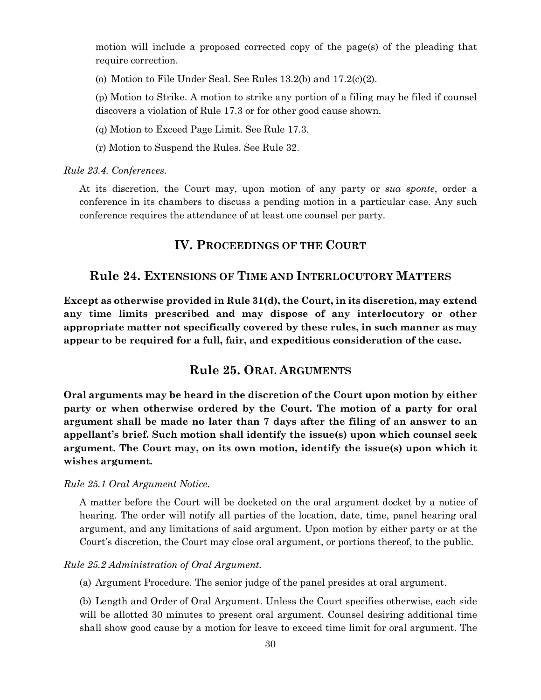motion will include a proposed corrected copy of the page(s) of the pleading that require correction.

(o) Motion to File Under Seal. See Rules 13.2(b) and 17.2(c)(2).

(p) Motion to Strike. A motion to strike any portion of a filing may be filed if counsel discovers a violation of Rule 17.3 or for other good cause shown.

(q) Motion to Exceed Page Limit. See Rule 17.3.

(r) Motion to Suspend the Rules. See Rule 32.

*Rule 23.4. Conferences.* 

<span id="page-33-0"></span>At its discretion, the Court may, upon motion of any party or *sua sponte*, order a conference in its chambers to discuss a pending motion in a particular case. Any such conference requires the attendance of at least one counsel per party.

# **IV. PROCEEDINGS OF THE COURT**

# <span id="page-33-1"></span>**Rule 24. EXTENSIONS OF TIME AND INTERLOCUTORY MATTERS**

**Except as otherwise provided in Rule 31(d), the Court, in its discretion, may extend any time limits prescribed and may dispose of any interlocutory or other appropriate matter not specifically covered by these rules, in such manner as may appear to be required for a full, fair, and expeditious consideration of the case.** 

# **Rule 25. ORAL ARGUMENTS**

<span id="page-33-2"></span>**Oral arguments may be heard in the discretion of the Court upon motion by either party or when otherwise ordered by the Court. The motion of a party for oral argument shall be made no later than 7 days after the filing of an answer to an appellant's brief. Such motion shall identify the issue(s) upon which counsel seek argument. The Court may, on its own motion, identify the issue(s) upon which it wishes argument.**

#### *Rule 25.1 Oral Argument Notice.*

A matter before the Court will be docketed on the oral argument docket by a notice of hearing. The order will notify all parties of the location, date, time, panel hearing oral argument, and any limitations of said argument. Upon motion by either party or at the Court's discretion, the Court may close oral argument, or portions thereof, to the public.

#### *Rule 25.2 Administration of Oral Argument.*

(a) Argument Procedure. The senior judge of the panel presides at oral argument.

(b) Length and Order of Oral Argument. Unless the Court specifies otherwise, each side will be allotted 30 minutes to present oral argument. Counsel desiring additional time shall show good cause by a motion for leave to exceed time limit for oral argument. The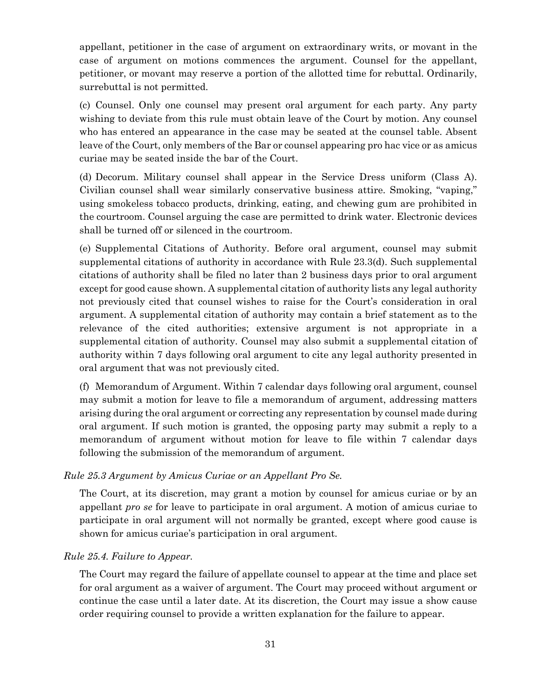appellant, petitioner in the case of argument on extraordinary writs, or movant in the case of argument on motions commences the argument. Counsel for the appellant, petitioner, or movant may reserve a portion of the allotted time for rebuttal. Ordinarily, surrebuttal is not permitted.

(c) Counsel. Only one counsel may present oral argument for each party. Any party wishing to deviate from this rule must obtain leave of the Court by motion. Any counsel who has entered an appearance in the case may be seated at the counsel table. Absent leave of the Court, only members of the Bar or counsel appearing pro hac vice or as amicus curiae may be seated inside the bar of the Court.

(d) Decorum. Military counsel shall appear in the Service Dress uniform (Class A). Civilian counsel shall wear similarly conservative business attire. Smoking, "vaping," using smokeless tobacco products, drinking, eating, and chewing gum are prohibited in the courtroom. Counsel arguing the case are permitted to drink water. Electronic devices shall be turned off or silenced in the courtroom.

(e) Supplemental Citations of Authority. Before oral argument, counsel may submit supplemental citations of authority in accordance with Rule 23.3(d). Such supplemental citations of authority shall be filed no later than 2 business days prior to oral argument except for good cause shown. A supplemental citation of authority lists any legal authority not previously cited that counsel wishes to raise for the Court's consideration in oral argument. A supplemental citation of authority may contain a brief statement as to the relevance of the cited authorities; extensive argument is not appropriate in a supplemental citation of authority. Counsel may also submit a supplemental citation of authority within 7 days following oral argument to cite any legal authority presented in oral argument that was not previously cited.

(f) Memorandum of Argument. Within 7 calendar days following oral argument, counsel may submit a motion for leave to file a memorandum of argument, addressing matters arising during the oral argument or correcting any representation by counsel made during oral argument. If such motion is granted, the opposing party may submit a reply to a memorandum of argument without motion for leave to file within 7 calendar days following the submission of the memorandum of argument.

#### *Rule 25.3 Argument by Amicus Curiae or an Appellant Pro Se.*

The Court, at its discretion, may grant a motion by counsel for amicus curiae or by an appellant *pro se* for leave to participate in oral argument. A motion of amicus curiae to participate in oral argument will not normally be granted, except where good cause is shown for amicus curiae's participation in oral argument.

#### *Rule 25.4. Failure to Appear.*

The Court may regard the failure of appellate counsel to appear at the time and place set for oral argument as a waiver of argument. The Court may proceed without argument or continue the case until a later date. At its discretion, the Court may issue a show cause order requiring counsel to provide a written explanation for the failure to appear.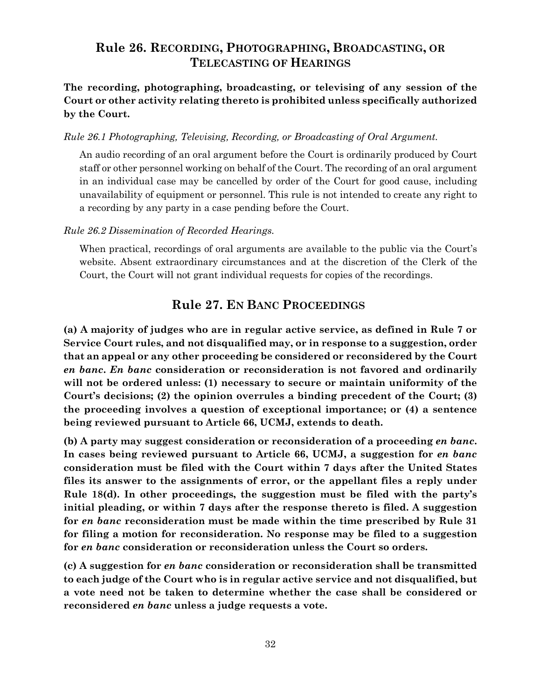# <span id="page-35-0"></span>**Rule 26. RECORDING, PHOTOGRAPHING, BROADCASTING, OR TELECASTING OF HEARINGS**

**The recording, photographing, broadcasting, or televising of any session of the Court or other activity relating thereto is prohibited unless specifically authorized by the Court.**

#### *Rule 26.1 Photographing, Televising, Recording, or Broadcasting of Oral Argument.*

An audio recording of an oral argument before the Court is ordinarily produced by Court staff or other personnel working on behalf of the Court. The recording of an oral argument in an individual case may be cancelled by order of the Court for good cause, including unavailability of equipment or personnel. This rule is not intended to create any right to a recording by any party in a case pending before the Court.

#### *Rule 26.2 Dissemination of Recorded Hearings.*

When practical, recordings of oral arguments are available to the public via the Court's website. Absent extraordinary circumstances and at the discretion of the Clerk of the Court, the Court will not grant individual requests for copies of the recordings.

# **Rule 27. EN BANC PROCEEDINGS**

<span id="page-35-1"></span>**(a) A majority of judges who are in regular active service, as defined in Rule 7 or Service Court rules, and not disqualified may, or in response to a suggestion, order that an appeal or any other proceeding be considered or reconsidered by the Court**  *en banc***.** *En banc* **consideration or reconsideration is not favored and ordinarily will not be ordered unless: (1) necessary to secure or maintain uniformity of the Court's decisions; (2) the opinion overrules a binding precedent of the Court; (3) the proceeding involves a question of exceptional importance; or (4) a sentence being reviewed pursuant to Article 66, UCMJ, extends to death.**

**(b) A party may suggest consideration or reconsideration of a proceeding** *en banc***. In cases being reviewed pursuant to Article 66, UCMJ, a suggestion for** *en banc* **consideration must be filed with the Court within 7 days after the United States files its answer to the assignments of error, or the appellant files a reply under Rule 18(d). In other proceedings, the suggestion must be filed with the party's initial pleading, or within 7 days after the response thereto is filed. A suggestion for** *en banc* **reconsideration must be made within the time prescribed by Rule 31 for filing a motion for reconsideration. No response may be filed to a suggestion for** *en banc* **consideration or reconsideration unless the Court so orders.**

**(c) A suggestion for** *en banc* **consideration or reconsideration shall be transmitted to each judge of the Court who is in regular active service and not disqualified, but a vote need not be taken to determine whether the case shall be considered or reconsidered** *en banc* **unless a judge requests a vote.**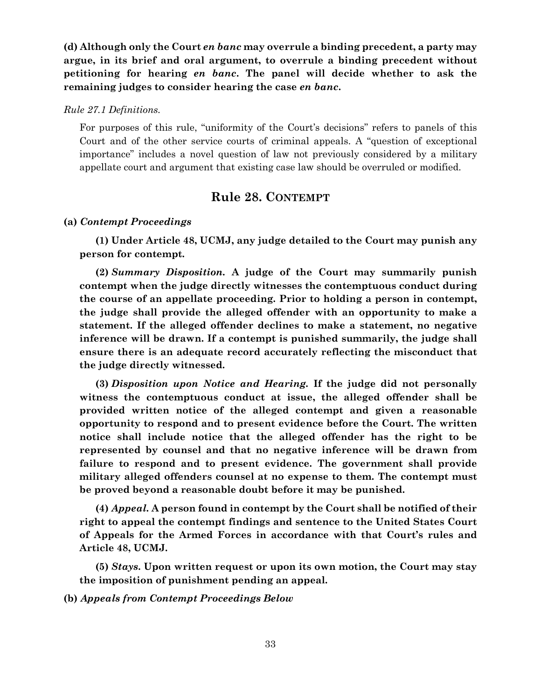**(d) Although only the Court** *en banc* **may overrule a binding precedent, a party may argue, in its brief and oral argument, to overrule a binding precedent without petitioning for hearing** *en banc***. The panel will decide whether to ask the remaining judges to consider hearing the case** *en banc***.** 

*Rule 27.1 Definitions.*

For purposes of this rule, "uniformity of the Court's decisions" refers to panels of this Court and of the other service courts of criminal appeals. A "question of exceptional importance" includes a novel question of law not previously considered by a military appellate court and argument that existing case law should be overruled or modified.

### **Rule 28. CONTEMPT**

#### <span id="page-36-0"></span>**(a)** *Contempt Proceedings*

**(1) Under Article 48, UCMJ, any judge detailed to the Court may punish any person for contempt.** 

**(2)** *Summary Disposition.* **A judge of the Court may summarily punish contempt when the judge directly witnesses the contemptuous conduct during the course of an appellate proceeding. Prior to holding a person in contempt, the judge shall provide the alleged offender with an opportunity to make a statement. If the alleged offender declines to make a statement, no negative inference will be drawn. If a contempt is punished summarily, the judge shall ensure there is an adequate record accurately reflecting the misconduct that the judge directly witnessed.**

**(3)** *Disposition upon Notice and Hearing.* **If the judge did not personally witness the contemptuous conduct at issue, the alleged offender shall be provided written notice of the alleged contempt and given a reasonable opportunity to respond and to present evidence before the Court. The written notice shall include notice that the alleged offender has the right to be represented by counsel and that no negative inference will be drawn from failure to respond and to present evidence. The government shall provide military alleged offenders counsel at no expense to them. The contempt must be proved beyond a reasonable doubt before it may be punished.**

**(4)** *Appeal.* **A person found in contempt by the Court shall be notified of their right to appeal the contempt findings and sentence to the United States Court of Appeals for the Armed Forces in accordance with that Court's rules and Article 48, UCMJ.**

**(5)** *Stays***. Upon written request or upon its own motion, the Court may stay the imposition of punishment pending an appeal.** 

**(b)** *Appeals from Contempt Proceedings Below*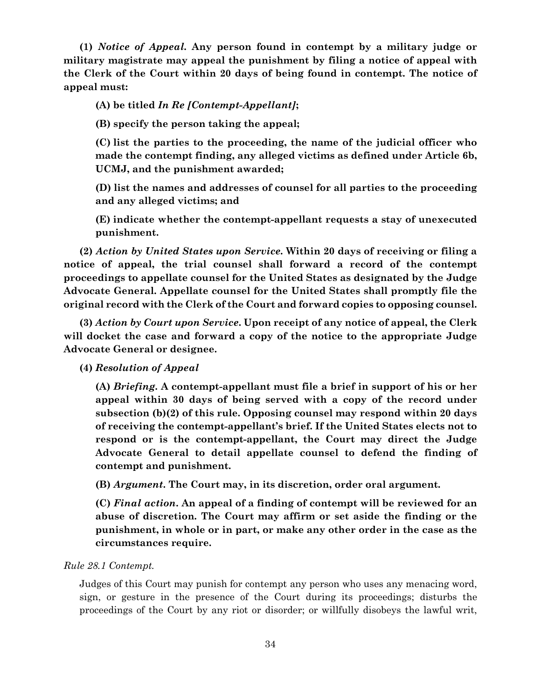**(1)** *Notice of Appeal.* **Any person found in contempt by a military judge or military magistrate may appeal the punishment by filing a notice of appeal with the Clerk of the Court within 20 days of being found in contempt. The notice of appeal must:**

**(A) be titled** *In Re [Contempt-Appellant]***;**

**(B) specify the person taking the appeal;**

**(C) list the parties to the proceeding, the name of the judicial officer who made the contempt finding, any alleged victims as defined under Article 6b, UCMJ, and the punishment awarded;** 

**(D) list the names and addresses of counsel for all parties to the proceeding and any alleged victims; and**

**(E) indicate whether the contempt-appellant requests a stay of unexecuted punishment.** 

**(2)** *Action by United States upon Service.* **Within 20 days of receiving or filing a notice of appeal, the trial counsel shall forward a record of the contempt proceedings to appellate counsel for the United States as designated by the Judge Advocate General. Appellate counsel for the United States shall promptly file the original record with the Clerk of the Court and forward copies to opposing counsel.**

**(3)** *Action by Court upon Service***. Upon receipt of any notice of appeal, the Clerk will docket the case and forward a copy of the notice to the appropriate Judge Advocate General or designee.**

**(4)** *Resolution of Appeal*

**(A)** *Briefing***. A contempt-appellant must file a brief in support of his or her appeal within 30 days of being served with a copy of the record under subsection (b)(2) of this rule. Opposing counsel may respond within 20 days of receiving the contempt-appellant's brief. If the United States elects not to respond or is the contempt-appellant, the Court may direct the Judge Advocate General to detail appellate counsel to defend the finding of contempt and punishment.**

**(B)** *Argument***. The Court may, in its discretion, order oral argument.** 

**(C)** *Final action***. An appeal of a finding of contempt will be reviewed for an abuse of discretion. The Court may affirm or set aside the finding or the punishment, in whole or in part, or make any other order in the case as the circumstances require.** 

#### *Rule 28.1 Contempt.*

Judges of this Court may punish for contempt any person who uses any menacing word, sign, or gesture in the presence of the Court during its proceedings; disturbs the proceedings of the Court by any riot or disorder; or willfully disobeys the lawful writ,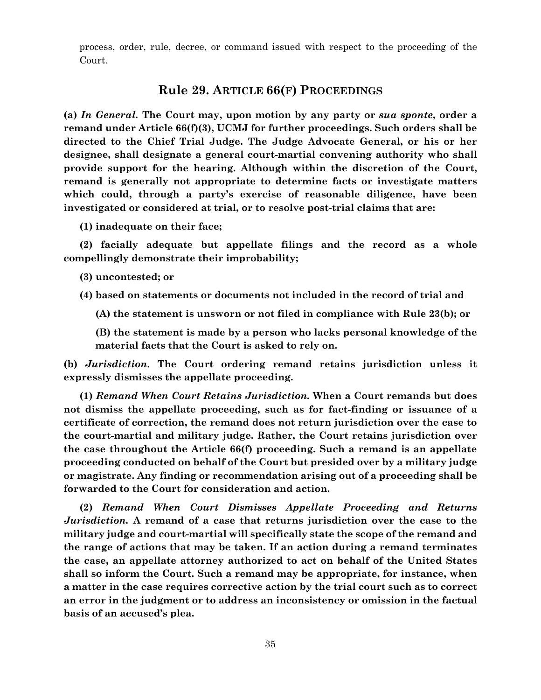<span id="page-38-0"></span>process, order, rule, decree, or command issued with respect to the proceeding of the Court.

#### **Rule 29. ARTICLE 66(F) PROCEEDINGS**

**(a)** *In General.* **The Court may, upon motion by any party or** *sua sponte***, order a remand under Article 66(f)(3), UCMJ for further proceedings. Such orders shall be directed to the Chief Trial Judge. The Judge Advocate General, or his or her designee, shall designate a general court-martial convening authority who shall provide support for the hearing. Although within the discretion of the Court, remand is generally not appropriate to determine facts or investigate matters which could, through a party's exercise of reasonable diligence, have been investigated or considered at trial, or to resolve post-trial claims that are:** 

**(1) inadequate on their face;** 

**(2) facially adequate but appellate filings and the record as a whole compellingly demonstrate their improbability;** 

**(3) uncontested; or** 

**(4) based on statements or documents not included in the record of trial and** 

**(A) the statement is unsworn or not filed in compliance with Rule 23(b); or**

**(B) the statement is made by a person who lacks personal knowledge of the material facts that the Court is asked to rely on.** 

**(b)** *Jurisdiction***. The Court ordering remand retains jurisdiction unless it expressly dismisses the appellate proceeding.** 

**(1)** *Remand When Court Retains Jurisdiction.* **When a Court remands but does not dismiss the appellate proceeding, such as for fact-finding or issuance of a certificate of correction, the remand does not return jurisdiction over the case to the court-martial and military judge. Rather, the Court retains jurisdiction over the case throughout the Article 66(f) proceeding. Such a remand is an appellate proceeding conducted on behalf of the Court but presided over by a military judge or magistrate. Any finding or recommendation arising out of a proceeding shall be forwarded to the Court for consideration and action.** 

**(2)** *Remand When Court Dismisses Appellate Proceeding and Returns Jurisdiction.* **A remand of a case that returns jurisdiction over the case to the military judge and court-martial will specifically state the scope of the remand and the range of actions that may be taken. If an action during a remand terminates the case, an appellate attorney authorized to act on behalf of the United States shall so inform the Court. Such a remand may be appropriate, for instance, when a matter in the case requires corrective action by the trial court such as to correct an error in the judgment or to address an inconsistency or omission in the factual basis of an accused's plea.**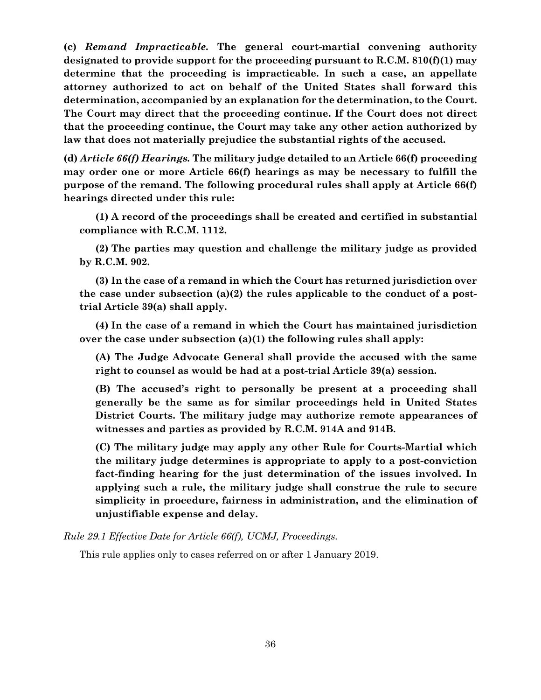**(c)** *Remand Impracticable.* **The general court-martial convening authority designated to provide support for the proceeding pursuant to R.C.M. 810(f)(1) may determine that the proceeding is impracticable. In such a case, an appellate attorney authorized to act on behalf of the United States shall forward this determination, accompanied by an explanation for the determination, to the Court. The Court may direct that the proceeding continue. If the Court does not direct that the proceeding continue, the Court may take any other action authorized by law that does not materially prejudice the substantial rights of the accused.**

**(d)** *Article 66(f) Hearings.* **The military judge detailed to an Article 66(f) proceeding may order one or more Article 66(f) hearings as may be necessary to fulfill the purpose of the remand. The following procedural rules shall apply at Article 66(f) hearings directed under this rule:**

**(1) A record of the proceedings shall be created and certified in substantial compliance with R.C.M. 1112.**

**(2) The parties may question and challenge the military judge as provided by R.C.M. 902.**

**(3) In the case of a remand in which the Court has returned jurisdiction over the case under subsection (a)(2) the rules applicable to the conduct of a posttrial Article 39(a) shall apply.**

**(4) In the case of a remand in which the Court has maintained jurisdiction over the case under subsection (a)(1) the following rules shall apply:** 

**(A) The Judge Advocate General shall provide the accused with the same right to counsel as would be had at a post-trial Article 39(a) session.** 

**(B) The accused's right to personally be present at a proceeding shall generally be the same as for similar proceedings held in United States District Courts. The military judge may authorize remote appearances of witnesses and parties as provided by R.C.M. 914A and 914B.**

**(C) The military judge may apply any other Rule for Courts-Martial which the military judge determines is appropriate to apply to a post-conviction fact-finding hearing for the just determination of the issues involved. In applying such a rule, the military judge shall construe the rule to secure simplicity in procedure, fairness in administration, and the elimination of unjustifiable expense and delay.** 

*Rule 29.1 Effective Date for Article 66(f), UCMJ, Proceedings.* 

This rule applies only to cases referred on or after 1 January 2019.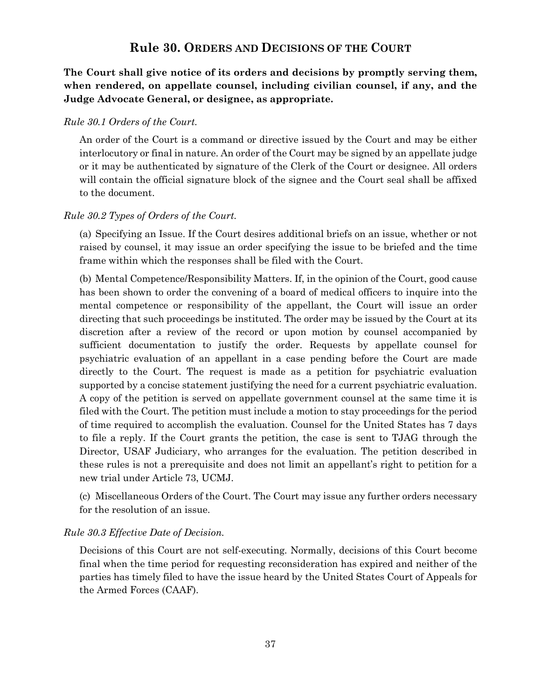# **Rule 30. ORDERS AND DECISIONS OF THE COURT**

<span id="page-40-0"></span>**The Court shall give notice of its orders and decisions by promptly serving them, when rendered, on appellate counsel, including civilian counsel, if any, and the Judge Advocate General, or designee, as appropriate.**

#### *Rule 30.1 Orders of the Court.*

An order of the Court is a command or directive issued by the Court and may be either interlocutory or final in nature. An order of the Court may be signed by an appellate judge or it may be authenticated by signature of the Clerk of the Court or designee. All orders will contain the official signature block of the signee and the Court seal shall be affixed to the document.

#### *Rule 30.2 Types of Orders of the Court.*

(a) Specifying an Issue. If the Court desires additional briefs on an issue, whether or not raised by counsel, it may issue an order specifying the issue to be briefed and the time frame within which the responses shall be filed with the Court.

(b) Mental Competence/Responsibility Matters. If, in the opinion of the Court, good cause has been shown to order the convening of a board of medical officers to inquire into the mental competence or responsibility of the appellant, the Court will issue an order directing that such proceedings be instituted. The order may be issued by the Court at its discretion after a review of the record or upon motion by counsel accompanied by sufficient documentation to justify the order. Requests by appellate counsel for psychiatric evaluation of an appellant in a case pending before the Court are made directly to the Court. The request is made as a petition for psychiatric evaluation supported by a concise statement justifying the need for a current psychiatric evaluation. A copy of the petition is served on appellate government counsel at the same time it is filed with the Court. The petition must include a motion to stay proceedings for the period of time required to accomplish the evaluation. Counsel for the United States has 7 days to file a reply. If the Court grants the petition, the case is sent to TJAG through the Director, USAF Judiciary, who arranges for the evaluation. The petition described in these rules is not a prerequisite and does not limit an appellant's right to petition for a new trial under Article 73, UCMJ.

(c) Miscellaneous Orders of the Court. The Court may issue any further orders necessary for the resolution of an issue.

#### *Rule 30.3 Effective Date of Decision.*

Decisions of this Court are not self-executing. Normally, decisions of this Court become final when the time period for requesting reconsideration has expired and neither of the parties has timely filed to have the issue heard by the United States Court of Appeals for the Armed Forces (CAAF).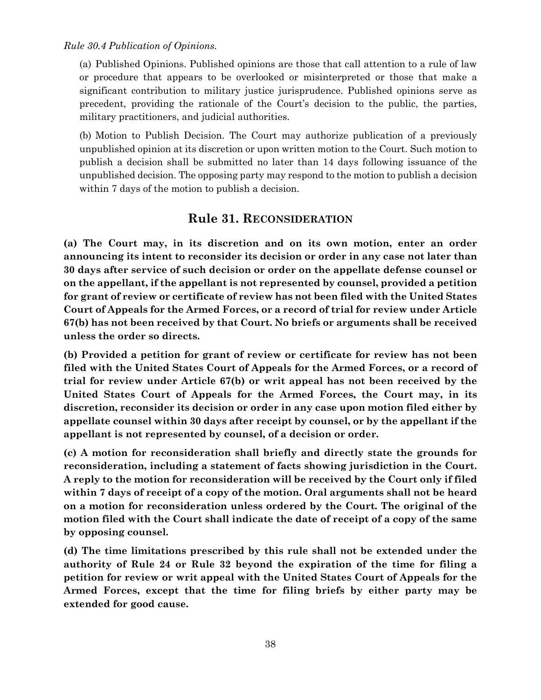*Rule 30.4 Publication of Opinions.*

(a) Published Opinions. Published opinions are those that call attention to a rule of law or procedure that appears to be overlooked or misinterpreted or those that make a significant contribution to military justice jurisprudence. Published opinions serve as precedent, providing the rationale of the Court's decision to the public, the parties, military practitioners, and judicial authorities.

(b) Motion to Publish Decision. The Court may authorize publication of a previously unpublished opinion at its discretion or upon written motion to the Court. Such motion to publish a decision shall be submitted no later than 14 days following issuance of the unpublished decision. The opposing party may respond to the motion to publish a decision within 7 days of the motion to publish a decision.

# **Rule 31. RECONSIDERATION**

<span id="page-41-0"></span>**(a) The Court may, in its discretion and on its own motion, enter an order announcing its intent to reconsider its decision or order in any case not later than 30 days after service of such decision or order on the appellate defense counsel or on the appellant, if the appellant is not represented by counsel, provided a petition for grant of review or certificate of review has not been filed with the United States Court of Appeals for the Armed Forces, or a record of trial for review under Article 67(b) has not been received by that Court. No briefs or arguments shall be received unless the order so directs.**

**(b) Provided a petition for grant of review or certificate for review has not been filed with the United States Court of Appeals for the Armed Forces, or a record of trial for review under Article 67(b) or writ appeal has not been received by the United States Court of Appeals for the Armed Forces, the Court may, in its discretion, reconsider its decision or order in any case upon motion filed either by appellate counsel within 30 days after receipt by counsel, or by the appellant if the appellant is not represented by counsel, of a decision or order.**

**(c) A motion for reconsideration shall briefly and directly state the grounds for reconsideration, including a statement of facts showing jurisdiction in the Court. A reply to the motion for reconsideration will be received by the Court only if filed within 7 days of receipt of a copy of the motion. Oral arguments shall not be heard on a motion for reconsideration unless ordered by the Court. The original of the motion filed with the Court shall indicate the date of receipt of a copy of the same by opposing counsel.**

**(d) The time limitations prescribed by this rule shall not be extended under the authority of Rule 24 or Rule 32 beyond the expiration of the time for filing a petition for review or writ appeal with the United States Court of Appeals for the Armed Forces, except that the time for filing briefs by either party may be extended for good cause.**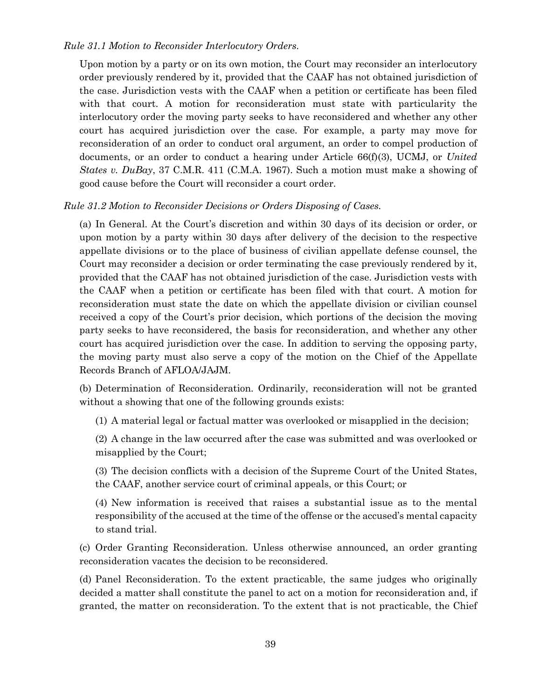#### *Rule 31.1 Motion to Reconsider Interlocutory Orders.*

Upon motion by a party or on its own motion, the Court may reconsider an interlocutory order previously rendered by it, provided that the CAAF has not obtained jurisdiction of the case. Jurisdiction vests with the CAAF when a petition or certificate has been filed with that court. A motion for reconsideration must state with particularity the interlocutory order the moving party seeks to have reconsidered and whether any other court has acquired jurisdiction over the case. For example, a party may move for reconsideration of an order to conduct oral argument, an order to compel production of documents, or an order to conduct a hearing under Article 66(f)(3), UCMJ, or *United States v. DuBay*, 37 C.M.R. 411 (C.M.A. 1967). Such a motion must make a showing of good cause before the Court will reconsider a court order.

#### *Rule 31.2 Motion to Reconsider Decisions or Orders Disposing of Cases.*

(a) In General. At the Court's discretion and within 30 days of its decision or order, or upon motion by a party within 30 days after delivery of the decision to the respective appellate divisions or to the place of business of civilian appellate defense counsel, the Court may reconsider a decision or order terminating the case previously rendered by it, provided that the CAAF has not obtained jurisdiction of the case. Jurisdiction vests with the CAAF when a petition or certificate has been filed with that court. A motion for reconsideration must state the date on which the appellate division or civilian counsel received a copy of the Court's prior decision, which portions of the decision the moving party seeks to have reconsidered, the basis for reconsideration, and whether any other court has acquired jurisdiction over the case. In addition to serving the opposing party, the moving party must also serve a copy of the motion on the Chief of the Appellate Records Branch of AFLOA/JAJM.

(b) Determination of Reconsideration. Ordinarily, reconsideration will not be granted without a showing that one of the following grounds exists:

(1) A material legal or factual matter was overlooked or misapplied in the decision;

(2) A change in the law occurred after the case was submitted and was overlooked or misapplied by the Court;

(3) The decision conflicts with a decision of the Supreme Court of the United States, the CAAF, another service court of criminal appeals, or this Court; or

(4) New information is received that raises a substantial issue as to the mental responsibility of the accused at the time of the offense or the accused's mental capacity to stand trial.

(c) Order Granting Reconsideration. Unless otherwise announced, an order granting reconsideration vacates the decision to be reconsidered.

(d) Panel Reconsideration. To the extent practicable, the same judges who originally decided a matter shall constitute the panel to act on a motion for reconsideration and, if granted, the matter on reconsideration. To the extent that is not practicable, the Chief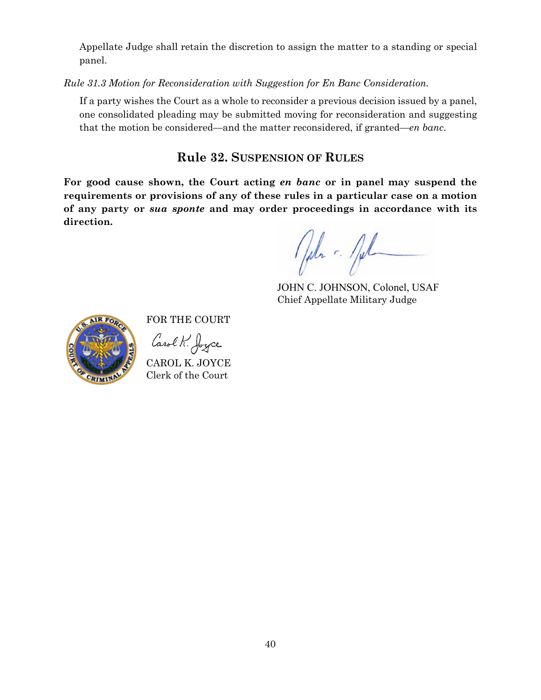Appellate Judge shall retain the discretion to assign the matter to a standing or special panel.

*Rule 31.3 Motion for Reconsideration with Suggestion for En Banc Consideration.*

If a party wishes the Court as a whole to reconsider a previous decision issued by a panel, one consolidated pleading may be submitted moving for reconsideration and suggesting that the motion be considered—and the matter reconsidered, if granted—*en banc*.

# **Rule 32. SUSPENSION OF RULES**

<span id="page-43-0"></span>**For good cause shown, the Court acting** *en banc* **or in panel may suspend the requirements or provisions of any of these rules in a particular case on a motion of any party or** *sua sponte* **and may order proceedings in accordance with its direction.**

John c. fil

JOHN C. JOHNSON, Colonel, USAF Chief Appellate Military Judge



FOR THE COURT

Carol K. Joyce

CAROL K. JOYCE Clerk of the Court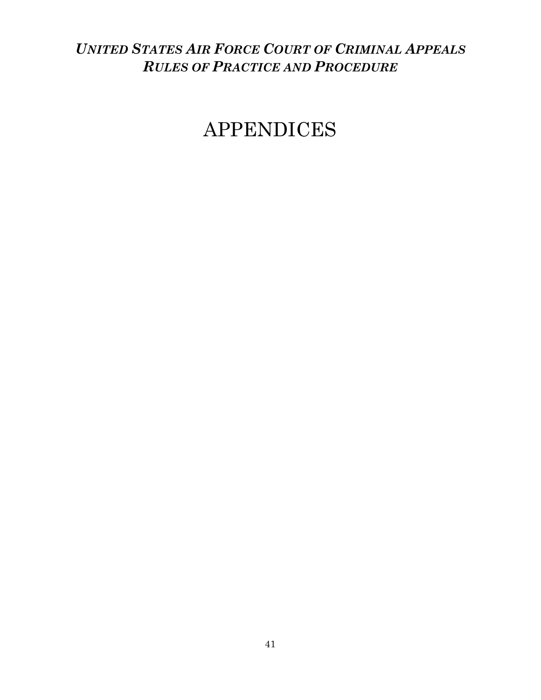# <span id="page-44-0"></span>*UNITED STATES AIR FORCE COURT OF CRIMINAL APPEALS RULES OF PRACTICE AND PROCEDURE*

# <span id="page-44-1"></span>APPENDICES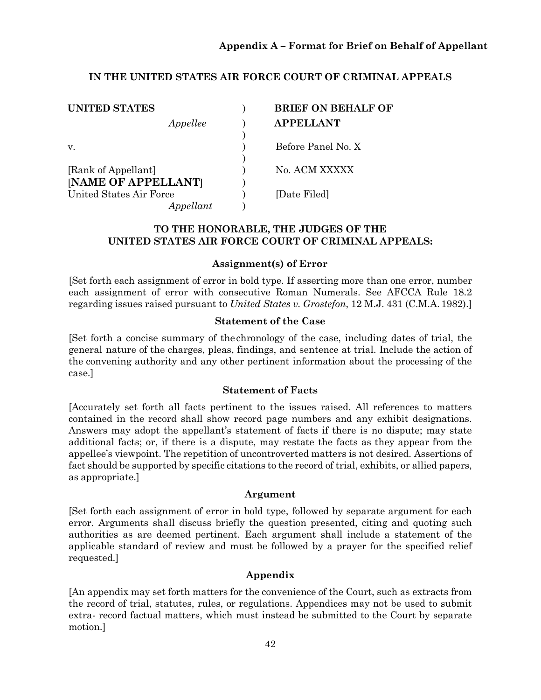#### **Appendix A – Format for Brief on Behalf of Appellant**

#### **IN THE UNITED STATES AIR FORCE COURT OF CRIMINAL APPEALS**

| <b>UNITED STATES</b>    | <b>BRIEF ON BEHALF OF</b> |
|-------------------------|---------------------------|
| Appellee                | <b>APPELLANT</b>          |
|                         |                           |
| V.                      | Before Panel No. X        |
|                         |                           |
| [Rank of Appellant]     | No. ACM XXXXX             |
| [NAME OF APPELLANT]     |                           |
| United States Air Force | [Date Filed]              |
| Appellant               |                           |

#### **TO THE HONORABLE, THE JUDGES OF THE UNITED STATES AIR FORCE COURT OF CRIMINAL APPEALS:**

#### **Assignment(s) of Error**

[Set forth each assignment of error in bold type. If asserting more than one error, number each assignment of error with consecutive Roman Numerals. See AFCCA Rule 18.2 regarding issues raised pursuant to *United States v. Grostefon*, 12 M.J. 431 (C.M.A. 1982).]

#### **Statement of the Case**

[Set forth a concise summary of thechronology of the case, including dates of trial, the general nature of the charges, pleas, findings, and sentence at trial. Include the action of the convening authority and any other pertinent information about the processing of the case.]

#### **Statement of Facts**

[Accurately set forth all facts pertinent to the issues raised. All references to matters contained in the record shall show record page numbers and any exhibit designations. Answers may adopt the appellant's statement of facts if there is no dispute; may state additional facts; or, if there is a dispute, may restate the facts as they appear from the appellee's viewpoint. The repetition of uncontroverted matters is not desired. Assertions of fact should be supported by specific citations to the record of trial, exhibits, or allied papers, as appropriate.]

#### **Argument**

[Set forth each assignment of error in bold type, followed by separate argument for each error. Arguments shall discuss briefly the question presented, citing and quoting such authorities as are deemed pertinent. Each argument shall include a statement of the applicable standard of review and must be followed by a prayer for the specified relief requested.]

#### **Appendix**

[An appendix may set forth matters for the convenience of the Court, such as extracts from the record of trial, statutes, rules, or regulations. Appendices may not be used to submit extra- record factual matters, which must instead be submitted to the Court by separate motion.]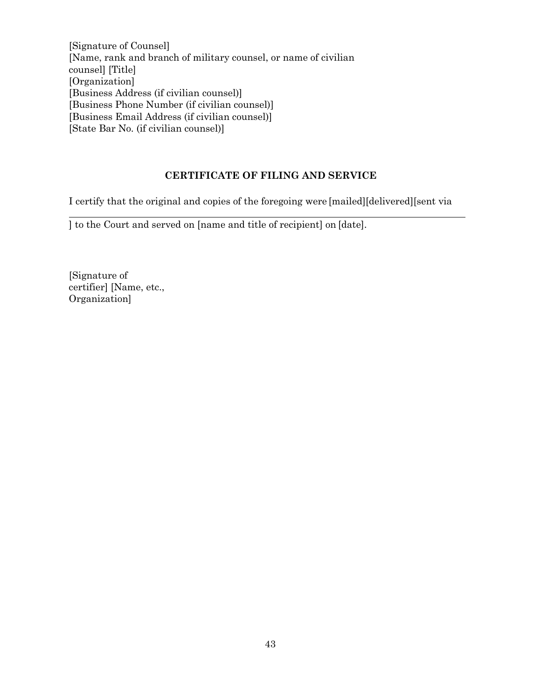[Signature of Counsel] [Name, rank and branch of military counsel, or name of civilian counsel] [Title] [Organization] [Business Address (if civilian counsel)] [Business Phone Number (if civilian counsel)] [Business Email Address (if civilian counsel)] [State Bar No. (if civilian counsel)]

#### **CERTIFICATE OF FILING AND SERVICE**

I certify that the original and copies of the foregoing were [mailed][delivered][sent via

] to the Court and served on [name and title of recipient] on [date].

<span id="page-46-0"></span>[Signature of certifier] [Name, etc., Organization]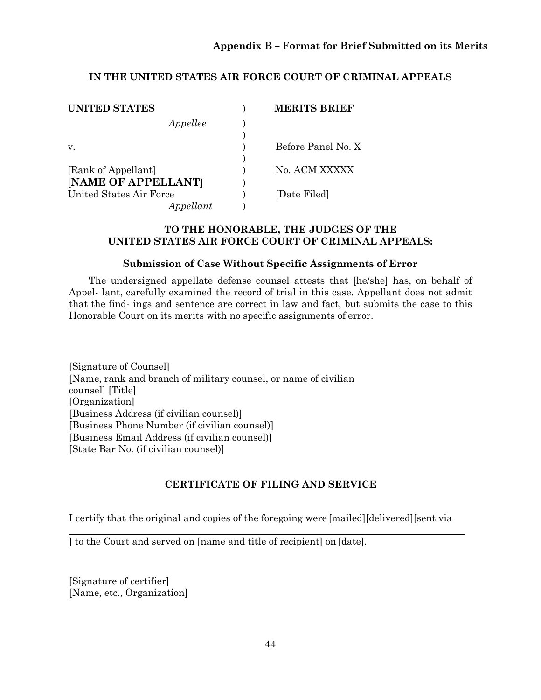### **Appendix B – Format for Brief Submitted on its Merits**

#### **IN THE UNITED STATES AIR FORCE COURT OF CRIMINAL APPEALS**

| UNITED STATES           | <b>MERITS BRIEF</b> |
|-------------------------|---------------------|
| Appellee                |                     |
|                         |                     |
| V.                      | Before Panel No. X  |
|                         |                     |
| [Rank of Appellant]     | No. ACM XXXXX       |
| [NAME OF APPELLANT]     |                     |
| United States Air Force | [Date Filed]        |
| Appellant               |                     |

#### **TO THE HONORABLE, THE JUDGES OF THE UNITED STATES AIR FORCE COURT OF CRIMINAL APPEALS:**

#### **Submission of Case Without Specific Assignments of Error**

The undersigned appellate defense counsel attests that [he/she] has, on behalf of Appel- lant, carefully examined the record of trial in this case. Appellant does not admit that the find- ings and sentence are correct in law and fact, but submits the case to this Honorable Court on its merits with no specific assignments of error.

[Signature of Counsel] [Name, rank and branch of military counsel, or name of civilian counsel] [Title] [Organization] [Business Address (if civilian counsel)] [Business Phone Number (if civilian counsel)] [Business Email Address (if civilian counsel)] [State Bar No. (if civilian counsel)]

#### **CERTIFICATE OF FILING AND SERVICE**

I certify that the original and copies of the foregoing were [mailed][delivered][sent via

] to the Court and served on [name and title of recipient] on [date].

[Signature of certifier] [Name, etc., Organization]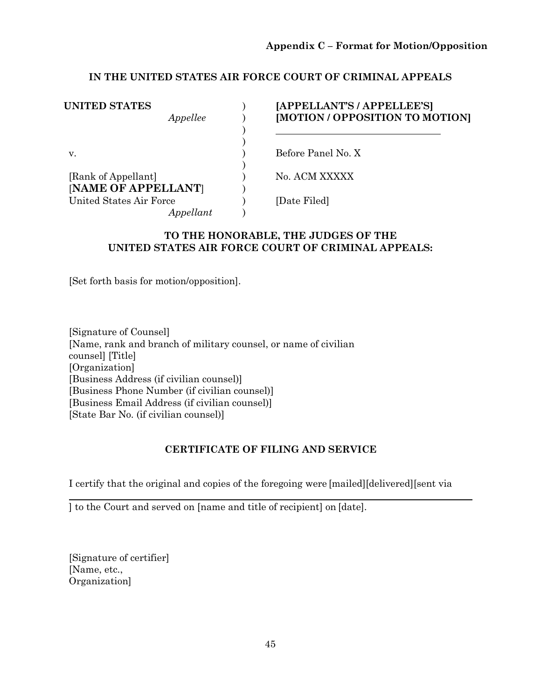#### <span id="page-48-0"></span>**IN THE UNITED STATES AIR FORCE COURT OF CRIMINAL APPEALS**

| <b>UNITED STATES</b>    | [APPELLANT'S / APPELLEE'S]      |
|-------------------------|---------------------------------|
| Appellee                | [MOTION / OPPOSITION TO MOTION] |
|                         |                                 |
|                         |                                 |
| V.                      | Before Panel No. X              |
|                         |                                 |
| [Rank of Appellant]     | No. ACM XXXXX                   |
| [NAME OF APPELLANT]     |                                 |
| United States Air Force | [Date Filed]                    |
| Appellant               |                                 |

#### **TO THE HONORABLE, THE JUDGES OF THE UNITED STATES AIR FORCE COURT OF CRIMINAL APPEALS:**

[Set forth basis for motion/opposition].

[Signature of Counsel] [Name, rank and branch of military counsel, or name of civilian counsel] [Title] [Organization] [Business Address (if civilian counsel)] [Business Phone Number (if civilian counsel)] [Business Email Address (if civilian counsel)] [State Bar No. (if civilian counsel)]

#### **CERTIFICATE OF FILING AND SERVICE**

I certify that the original and copies of the foregoing were [mailed][delivered][sent via

] to the Court and served on [name and title of recipient] on [date].

<span id="page-48-1"></span>[Signature of certifier] [Name, etc., Organization]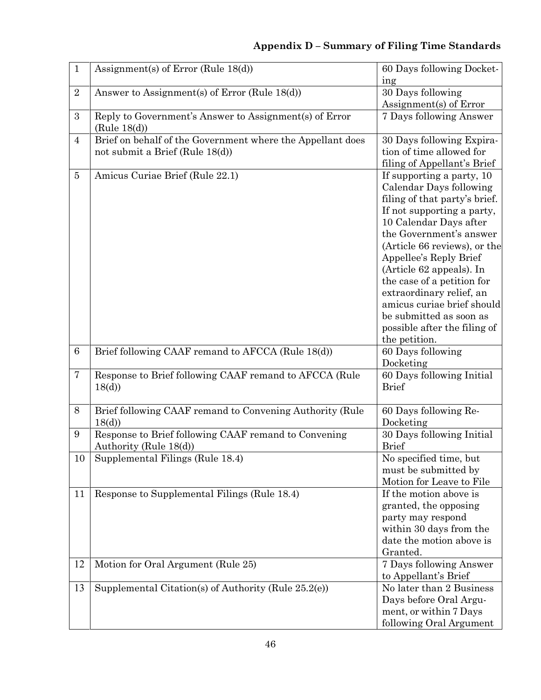# **Appendix D – Summary of Filing Time Standards**

| $\mathbf{1}$    | Assignment(s) of Error (Rule $18(d)$ )                                                        | 60 Days following Docket-<br>ing                                                                                                                                                                                                                                                                                                                                                                                                   |
|-----------------|-----------------------------------------------------------------------------------------------|------------------------------------------------------------------------------------------------------------------------------------------------------------------------------------------------------------------------------------------------------------------------------------------------------------------------------------------------------------------------------------------------------------------------------------|
| $\sqrt{2}$      | Answer to Assignment(s) of Error (Rule 18(d))                                                 | 30 Days following<br>Assignment(s) of Error                                                                                                                                                                                                                                                                                                                                                                                        |
| 3               | Reply to Government's Answer to Assignment(s) of Error<br>(Rule 18(d))                        | 7 Days following Answer                                                                                                                                                                                                                                                                                                                                                                                                            |
| $\overline{4}$  | Brief on behalf of the Government where the Appellant does<br>not submit a Brief (Rule 18(d)) | 30 Days following Expira-<br>tion of time allowed for<br>filing of Appellant's Brief                                                                                                                                                                                                                                                                                                                                               |
| $\overline{5}$  | Amicus Curiae Brief (Rule 22.1)                                                               | If supporting a party, 10<br>Calendar Days following<br>filing of that party's brief.<br>If not supporting a party,<br>10 Calendar Days after<br>the Government's answer<br>(Article 66 reviews), or the<br>Appellee's Reply Brief<br>(Article 62 appeals). In<br>the case of a petition for<br>extraordinary relief, an<br>amicus curiae brief should<br>be submitted as soon as<br>possible after the filing of<br>the petition. |
| $6\phantom{.}6$ | Brief following CAAF remand to AFCCA (Rule 18(d))                                             | 60 Days following<br>Docketing                                                                                                                                                                                                                                                                                                                                                                                                     |
| $\overline{7}$  | Response to Brief following CAAF remand to AFCCA (Rule)<br>18 <sub>(d)</sub>                  | 60 Days following Initial<br><b>Brief</b>                                                                                                                                                                                                                                                                                                                                                                                          |
| 8               | Brief following CAAF remand to Convening Authority (Rule<br>18 <sub>(d)</sub>                 | 60 Days following Re-<br>Docketing                                                                                                                                                                                                                                                                                                                                                                                                 |
| 9               | Response to Brief following CAAF remand to Convening<br>Authority (Rule 18(d))                | 30 Days following Initial<br><b>Brief</b>                                                                                                                                                                                                                                                                                                                                                                                          |
| $10\,$          | Supplemental Filings (Rule 18.4)                                                              | No specified time, but<br>must be submitted by<br>Motion for Leave to File                                                                                                                                                                                                                                                                                                                                                         |
| 11              | Response to Supplemental Filings (Rule 18.4)                                                  | If the motion above is<br>granted, the opposing<br>party may respond<br>within 30 days from the<br>date the motion above is<br>Granted.                                                                                                                                                                                                                                                                                            |
| 12              | Motion for Oral Argument (Rule 25)                                                            | 7 Days following Answer<br>to Appellant's Brief                                                                                                                                                                                                                                                                                                                                                                                    |
| 13              | Supplemental Citation(s) of Authority (Rule 25.2(e))                                          | No later than 2 Business<br>Days before Oral Argu-<br>ment, or within 7 Days<br>following Oral Argument                                                                                                                                                                                                                                                                                                                            |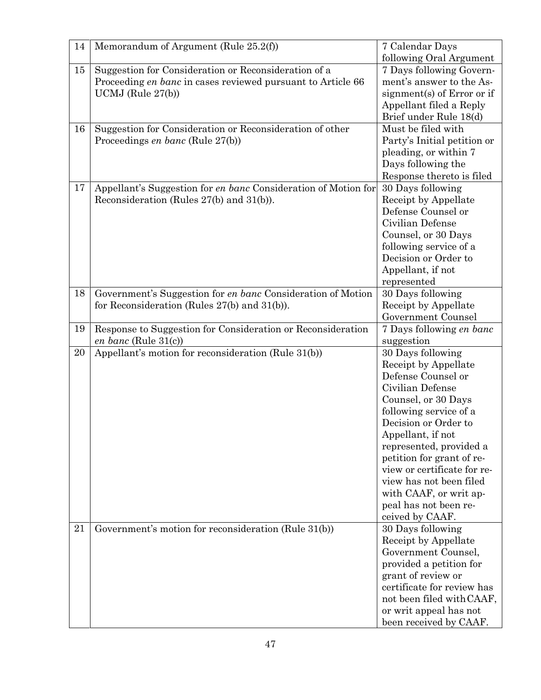| 14 | Memorandum of Argument (Rule 25.2(f))                                                                            | 7 Calendar Days                           |
|----|------------------------------------------------------------------------------------------------------------------|-------------------------------------------|
|    |                                                                                                                  | following Oral Argument                   |
| 15 | Suggestion for Consideration or Reconsideration of a                                                             | 7 Days following Govern-                  |
|    | Proceeding en banc in cases reviewed pursuant to Article 66                                                      | ment's answer to the As-                  |
|    | UCMJ (Rule $27(b)$ )                                                                                             | signment(s) of Error or if                |
|    |                                                                                                                  | Appellant filed a Reply                   |
|    |                                                                                                                  | Brief under Rule 18(d)                    |
| 16 | Suggestion for Consideration or Reconsideration of other                                                         | Must be filed with                        |
|    | Proceedings en banc (Rule 27(b))                                                                                 | Party's Initial petition or               |
|    |                                                                                                                  | pleading, or within 7                     |
|    |                                                                                                                  | Days following the                        |
|    |                                                                                                                  | Response thereto is filed                 |
| 17 | Appellant's Suggestion for en banc Consideration of Motion for                                                   | 30 Days following                         |
|    | Reconsideration (Rules 27(b) and 31(b)).                                                                         | Receipt by Appellate                      |
|    |                                                                                                                  | Defense Counsel or                        |
|    |                                                                                                                  | Civilian Defense                          |
|    |                                                                                                                  | Counsel, or 30 Days                       |
|    |                                                                                                                  | following service of a                    |
|    |                                                                                                                  | Decision or Order to                      |
|    |                                                                                                                  | Appellant, if not                         |
| 18 |                                                                                                                  | represented                               |
|    | Government's Suggestion for en banc Consideration of Motion<br>for Reconsideration (Rules $27(b)$ and $31(b)$ ). | 30 Days following<br>Receipt by Appellate |
|    |                                                                                                                  | Government Counsel                        |
| 19 | Response to Suggestion for Consideration or Reconsideration                                                      | 7 Days following en banc                  |
|    | en banc (Rule 31(c))                                                                                             | suggestion                                |
| 20 | Appellant's motion for reconsideration (Rule 31(b))                                                              | 30 Days following                         |
|    |                                                                                                                  | Receipt by Appellate                      |
|    |                                                                                                                  | Defense Counsel or                        |
|    |                                                                                                                  | Civilian Defense                          |
|    |                                                                                                                  | Counsel, or 30 Days                       |
|    |                                                                                                                  | following service of a                    |
|    |                                                                                                                  | Decision or Order to                      |
|    |                                                                                                                  | Appellant, if not                         |
|    |                                                                                                                  | represented, provided a                   |
|    |                                                                                                                  | petition for grant of re-                 |
|    |                                                                                                                  | view or certificate for re-               |
|    |                                                                                                                  | view has not been filed                   |
|    |                                                                                                                  | with CAAF, or writ ap-                    |
|    |                                                                                                                  | peal has not been re-                     |
|    |                                                                                                                  | ceived by CAAF.                           |
| 21 | Government's motion for reconsideration (Rule 31(b))                                                             | 30 Days following                         |
|    |                                                                                                                  | Receipt by Appellate                      |
|    |                                                                                                                  | Government Counsel,                       |
|    |                                                                                                                  | provided a petition for                   |
|    |                                                                                                                  | grant of review or                        |
|    |                                                                                                                  | certificate for review has                |
|    |                                                                                                                  | not been filed with CAAF,                 |
|    |                                                                                                                  | or writ appeal has not                    |
|    |                                                                                                                  | been received by CAAF.                    |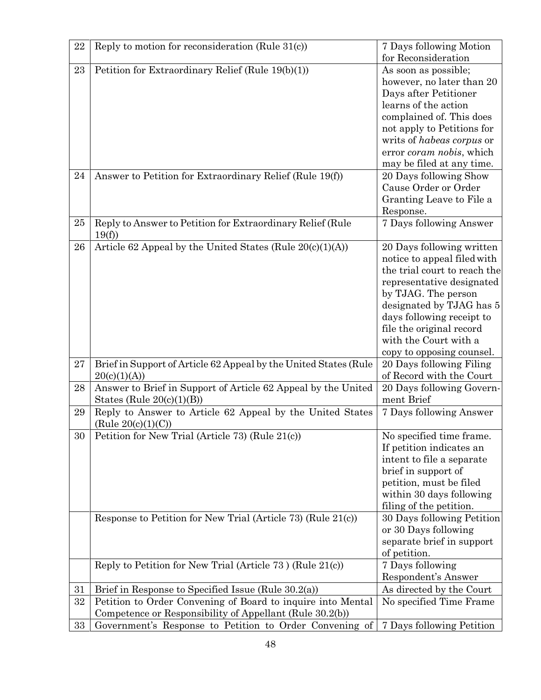| 22     | Reply to motion for reconsideration (Rule $31(c)$ )                 | 7 Days following Motion                           |
|--------|---------------------------------------------------------------------|---------------------------------------------------|
|        |                                                                     | for Reconsideration                               |
| 23     | Petition for Extraordinary Relief (Rule 19(b)(1))                   | As soon as possible;                              |
|        |                                                                     | however, no later than 20                         |
|        |                                                                     | Days after Petitioner                             |
|        |                                                                     | learns of the action                              |
|        |                                                                     | complained of. This does                          |
|        |                                                                     | not apply to Petitions for                        |
|        |                                                                     | writs of <i>habeas</i> corpus or                  |
|        |                                                                     | error <i>coram nobis</i> , which                  |
|        |                                                                     | may be filed at any time.                         |
| 24     | Answer to Petition for Extraordinary Relief (Rule 19(f))            | 20 Days following Show                            |
|        |                                                                     | Cause Order or Order                              |
|        |                                                                     | Granting Leave to File a                          |
|        |                                                                     | Response.                                         |
| 25     | Reply to Answer to Petition for Extraordinary Relief (Rule<br>19(f) | 7 Days following Answer                           |
| 26     | Article 62 Appeal by the United States (Rule $20(c)(1)(A)$ )        | 20 Days following written                         |
|        |                                                                     | notice to appeal filed with                       |
|        |                                                                     | the trial court to reach the                      |
|        |                                                                     | representative designated                         |
|        |                                                                     | by TJAG. The person                               |
|        |                                                                     | designated by TJAG has 5                          |
|        |                                                                     | days following receipt to                         |
|        |                                                                     | file the original record<br>with the Court with a |
|        |                                                                     | copy to opposing counsel.                         |
| 27     | Brief in Support of Article 62 Appeal by the United States (Rule    | 20 Days following Filing                          |
|        | 20(c)(1)(A))                                                        | of Record with the Court                          |
| 28     | Answer to Brief in Support of Article 62 Appeal by the United       | 20 Days following Govern-                         |
|        | States (Rule $20(c)(1)(B)$ )                                        | ment Brief                                        |
| 29     | Reply to Answer to Article 62 Appeal by the United States           | 7 Days following Answer                           |
|        | (Rule $20(c)(1)(C)$ )                                               |                                                   |
| $30\,$ | Petition for New Trial (Article 73) (Rule 21(c))                    | No specified time frame.                          |
|        |                                                                     | If petition indicates an                          |
|        |                                                                     | intent to file a separate                         |
|        |                                                                     | brief in support of                               |
|        |                                                                     | petition, must be filed                           |
|        |                                                                     | within 30 days following                          |
|        |                                                                     | filing of the petition.                           |
|        | Response to Petition for New Trial (Article 73) (Rule 21(c))        | 30 Days following Petition                        |
|        |                                                                     | or 30 Days following                              |
|        |                                                                     | separate brief in support                         |
|        |                                                                     | of petition.                                      |
|        | Reply to Petition for New Trial (Article 73) (Rule 21(c))           | 7 Days following                                  |
|        |                                                                     | Respondent's Answer                               |
| 31     | Brief in Response to Specified Issue (Rule 30.2(a))                 | As directed by the Court                          |
| 32     | Petition to Order Convening of Board to inquire into Mental         | No specified Time Frame                           |
|        | Competence or Responsibility of Appellant (Rule 30.2(b))            |                                                   |
| 33     | Government's Response to Petition to Order Convening of             | 7 Days following Petition                         |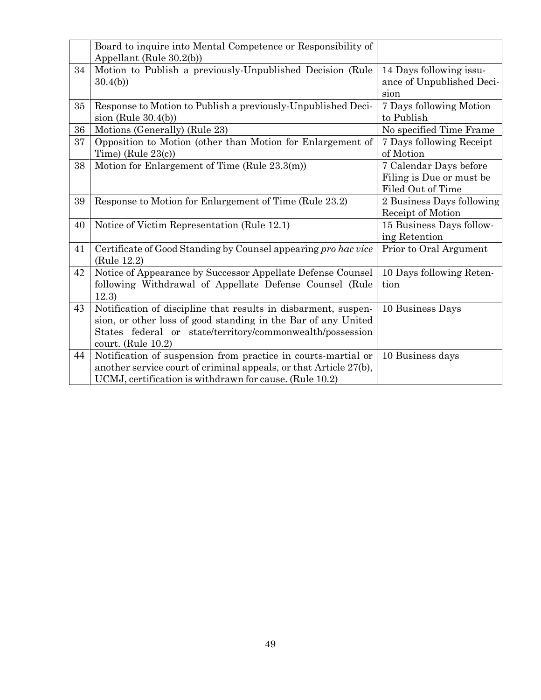<span id="page-52-0"></span>

|    | Board to inquire into Mental Competence or Responsibility of      |                           |
|----|-------------------------------------------------------------------|---------------------------|
|    | Appellant (Rule 30.2(b))                                          |                           |
| 34 | Motion to Publish a previously-Unpublished Decision (Rule         | 14 Days following issu-   |
|    | 30.4(b)                                                           | ance of Unpublished Deci- |
|    |                                                                   | sion                      |
| 35 | Response to Motion to Publish a previously-Unpublished Deci-      | 7 Days following Motion   |
|    | sion (Rule $30.4(b)$ )                                            | to Publish                |
| 36 | Motions (Generally) (Rule 23)                                     | No specified Time Frame   |
| 37 | Opposition to Motion (other than Motion for Enlargement of        | 7 Days following Receipt  |
|    | Time) (Rule $23(c)$ )                                             | of Motion                 |
| 38 | Motion for Enlargement of Time (Rule 23.3(m))                     | 7 Calendar Days before    |
|    |                                                                   | Filing is Due or must be  |
|    |                                                                   | Filed Out of Time         |
| 39 | Response to Motion for Enlargement of Time (Rule 23.2)            | 2 Business Days following |
|    |                                                                   | Receipt of Motion         |
| 40 | Notice of Victim Representation (Rule 12.1)                       | 15 Business Days follow-  |
|    |                                                                   | ing Retention             |
| 41 | Certificate of Good Standing by Counsel appearing pro hac vice    | Prior to Oral Argument    |
|    | (Rule 12.2)                                                       |                           |
| 42 | Notice of Appearance by Successor Appellate Defense Counsel       | 10 Days following Reten-  |
|    | following Withdrawal of Appellate Defense Counsel (Rule           | tion                      |
|    | 12.3)                                                             |                           |
| 43 | Notification of discipline that results in disbarment, suspen-    | 10 Business Days          |
|    | sion, or other loss of good standing in the Bar of any United     |                           |
|    | States federal or state/territory/commonwealth/possession         |                           |
|    | court. (Rule $10.2$ )                                             |                           |
| 44 | Notification of suspension from practice in courts-martial or     | 10 Business days          |
|    | another service court of criminal appeals, or that Article 27(b), |                           |
|    | UCMJ, certification is withdrawn for cause. (Rule 10.2)           |                           |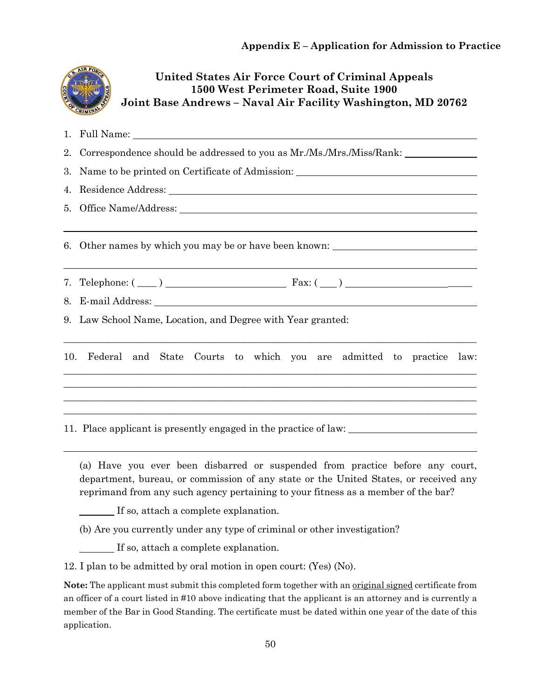|                 | United States Air Force Court of Criminal Appeals<br>1500 West Perimeter Road, Suite 1900<br>Joint Base Andrews – Naval Air Facility Washington, MD 20762<br>RIMIN                                                             |  |  |
|-----------------|--------------------------------------------------------------------------------------------------------------------------------------------------------------------------------------------------------------------------------|--|--|
| 1.              |                                                                                                                                                                                                                                |  |  |
| 2.              | Correspondence should be addressed to you as Mr./Ms./Mrs./Miss/Rank:                                                                                                                                                           |  |  |
| 3.              | Name to be printed on Certificate of Admission:                                                                                                                                                                                |  |  |
| 4.              | Residence Address: Universe of the Contract of the Contract of the Contract of the Contract of the Contract of the Contract of the Contract of the Contract of the Contract of the Contract of the Contract of the Contract of |  |  |
| 5 <sub>1</sub>  |                                                                                                                                                                                                                                |  |  |
| 6.<br>7.<br>8.  | Other names by which you may be or have been known: _____________________________<br>Telephone: $(\_\_)$ $\_\_$ Fax: $(\_\_)$                                                                                                  |  |  |
| 9.              | Law School Name, Location, and Degree with Year granted:                                                                                                                                                                       |  |  |
| 10 <sub>1</sub> | Federal and<br>State Courts to which you are admitted to practice law:                                                                                                                                                         |  |  |
|                 | 11. Place applicant is presently engaged in the practice of law:                                                                                                                                                               |  |  |

(a) Have you ever been disbarred or suspended from practice before any court, department, bureau, or commission of any state or the United States, or received any reprimand from any such agency pertaining to your fitness as a member of the bar?

If so, attach a complete explanation.

(b) Are you currently under any type of criminal or other investigation?

If so, attach a complete explanation.

12. I plan to be admitted by oral motion in open court: (Yes) (No).

**Note:** The applicant must submit this completed form together with an original signed certificate from an officer of a court listed in #10 above indicating that the applicant is an attorney and is currently a member of the Bar in Good Standing. The certificate must be dated within one year of the date of this application.